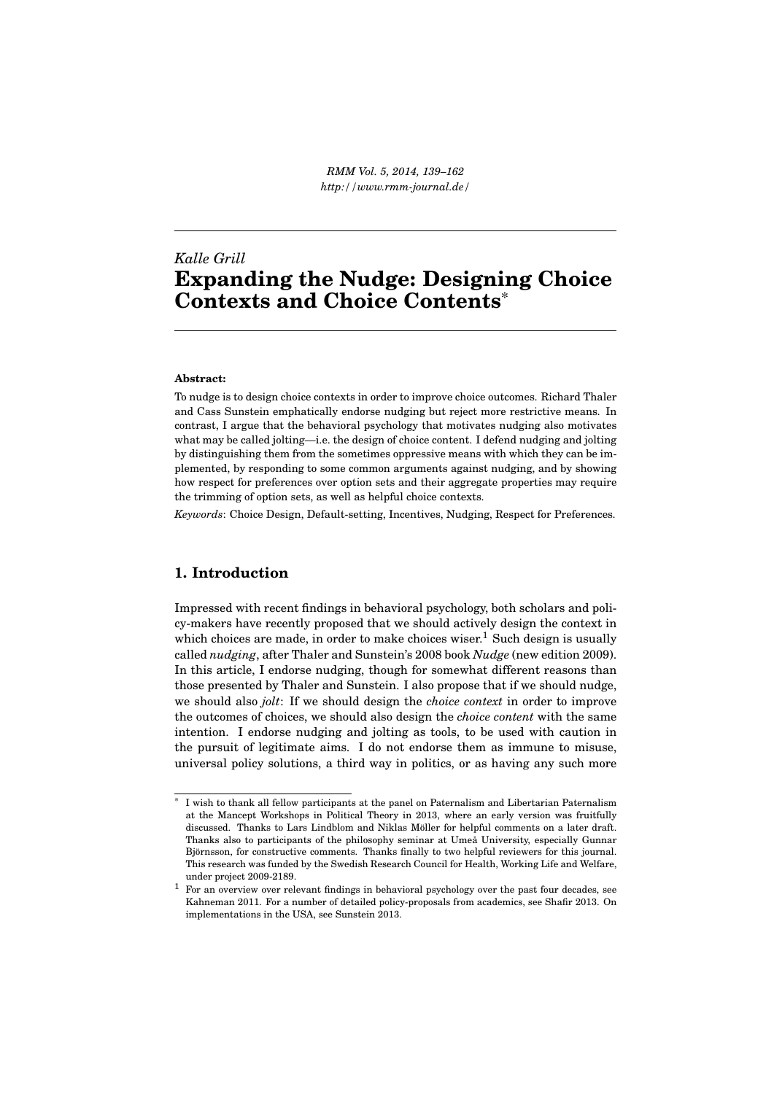*RMM Vol. 5, 2014, 139–162 http://www.rmm-journal.de/*

# *Kalle Grill* **Expanding the Nudge: Designing Choice Contexts and Choice Contents**\*

#### **Abstract:**

To nudge is to design choice contexts in order to improve choice outcomes. Richard Thaler and Cass Sunstein emphatically endorse nudging but reject more restrictive means. In contrast, I argue that the behavioral psychology that motivates nudging also motivates what may be called jolting—i.e. the design of choice content. I defend nudging and jolting by distinguishing them from the sometimes oppressive means with which they can be implemented, by responding to some common arguments against nudging, and by showing how respect for preferences over option sets and their aggregate properties may require the trimming of option sets, as well as helpful choice contexts.

*Keywords*: Choice Design, Default-setting, Incentives, Nudging, Respect for Preferences.

## **1. Introduction**

Impressed with recent findings in behavioral psychology, both scholars and policy-makers have recently proposed that we should actively design the context in which choices are made, in order to make choices wiser.<sup>1</sup> Such design is usually called *nudging*, after Thaler and Sunstein's 2008 book *Nudge* (new edition 2009). In this article, I endorse nudging, though for somewhat different reasons than those presented by Thaler and Sunstein. I also propose that if we should nudge, we should also *jolt*: If we should design the *choice context* in order to improve the outcomes of choices, we should also design the *choice content* with the same intention. I endorse nudging and jolting as tools, to be used with caution in the pursuit of legitimate aims. I do not endorse them as immune to misuse, universal policy solutions, a third way in politics, or as having any such more

<sup>\*</sup> I wish to thank all fellow participants at the panel on Paternalism and Libertarian Paternalism at the Mancept Workshops in Political Theory in 2013, where an early version was fruitfully discussed. Thanks to Lars Lindblom and Niklas Möller for helpful comments on a later draft. Thanks also to participants of the philosophy seminar at Umeå University, especially Gunnar Björnsson, for constructive comments. Thanks finally to two helpful reviewers for this journal. This research was funded by the Swedish Research Council for Health, Working Life and Welfare, under project 2009-2189.

<sup>&</sup>lt;sup>1</sup> For an overview over relevant findings in behavioral psychology over the past four decades, see Kahneman 2011. For a number of detailed policy-proposals from academics, see Shafir 2013. On implementations in the USA, see Sunstein 2013.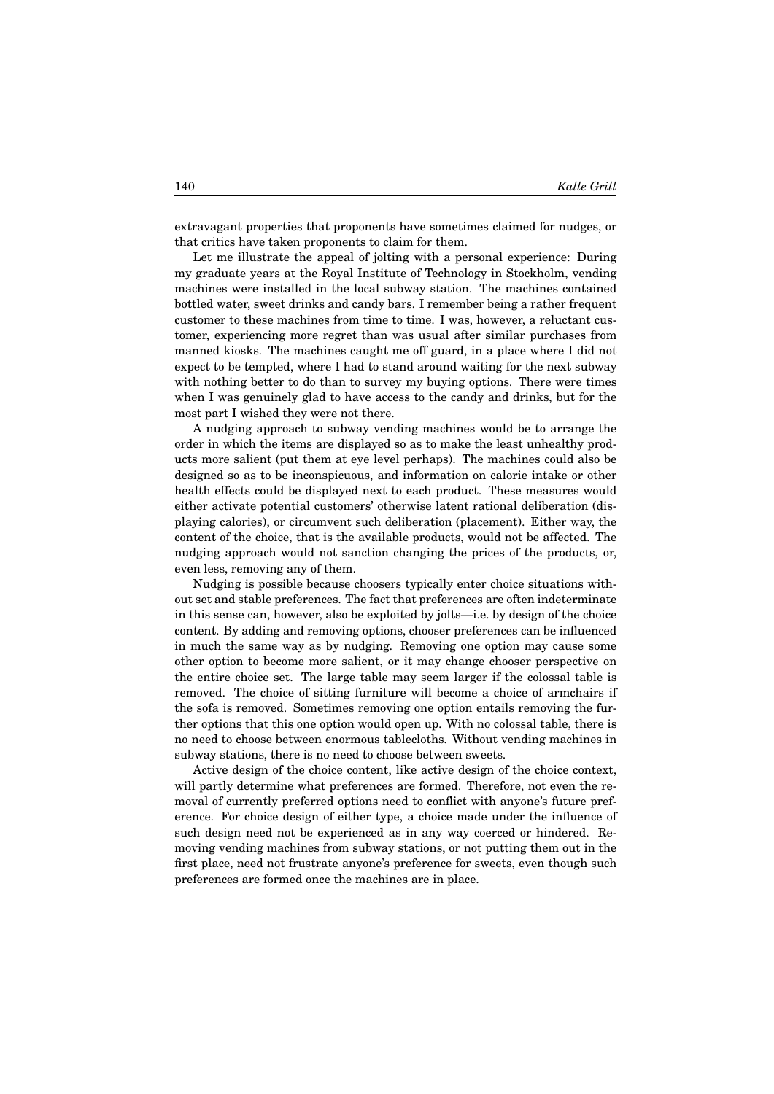extravagant properties that proponents have sometimes claimed for nudges, or that critics have taken proponents to claim for them.

Let me illustrate the appeal of jolting with a personal experience: During my graduate years at the Royal Institute of Technology in Stockholm, vending machines were installed in the local subway station. The machines contained bottled water, sweet drinks and candy bars. I remember being a rather frequent customer to these machines from time to time. I was, however, a reluctant customer, experiencing more regret than was usual after similar purchases from manned kiosks. The machines caught me off guard, in a place where I did not expect to be tempted, where I had to stand around waiting for the next subway with nothing better to do than to survey my buying options. There were times when I was genuinely glad to have access to the candy and drinks, but for the most part I wished they were not there.

A nudging approach to subway vending machines would be to arrange the order in which the items are displayed so as to make the least unhealthy products more salient (put them at eye level perhaps). The machines could also be designed so as to be inconspicuous, and information on calorie intake or other health effects could be displayed next to each product. These measures would either activate potential customers' otherwise latent rational deliberation (displaying calories), or circumvent such deliberation (placement). Either way, the content of the choice, that is the available products, would not be affected. The nudging approach would not sanction changing the prices of the products, or, even less, removing any of them.

Nudging is possible because choosers typically enter choice situations without set and stable preferences. The fact that preferences are often indeterminate in this sense can, however, also be exploited by jolts—i.e. by design of the choice content. By adding and removing options, chooser preferences can be influenced in much the same way as by nudging. Removing one option may cause some other option to become more salient, or it may change chooser perspective on the entire choice set. The large table may seem larger if the colossal table is removed. The choice of sitting furniture will become a choice of armchairs if the sofa is removed. Sometimes removing one option entails removing the further options that this one option would open up. With no colossal table, there is no need to choose between enormous tablecloths. Without vending machines in subway stations, there is no need to choose between sweets.

Active design of the choice content, like active design of the choice context, will partly determine what preferences are formed. Therefore, not even the removal of currently preferred options need to conflict with anyone's future preference. For choice design of either type, a choice made under the influence of such design need not be experienced as in any way coerced or hindered. Removing vending machines from subway stations, or not putting them out in the first place, need not frustrate anyone's preference for sweets, even though such preferences are formed once the machines are in place.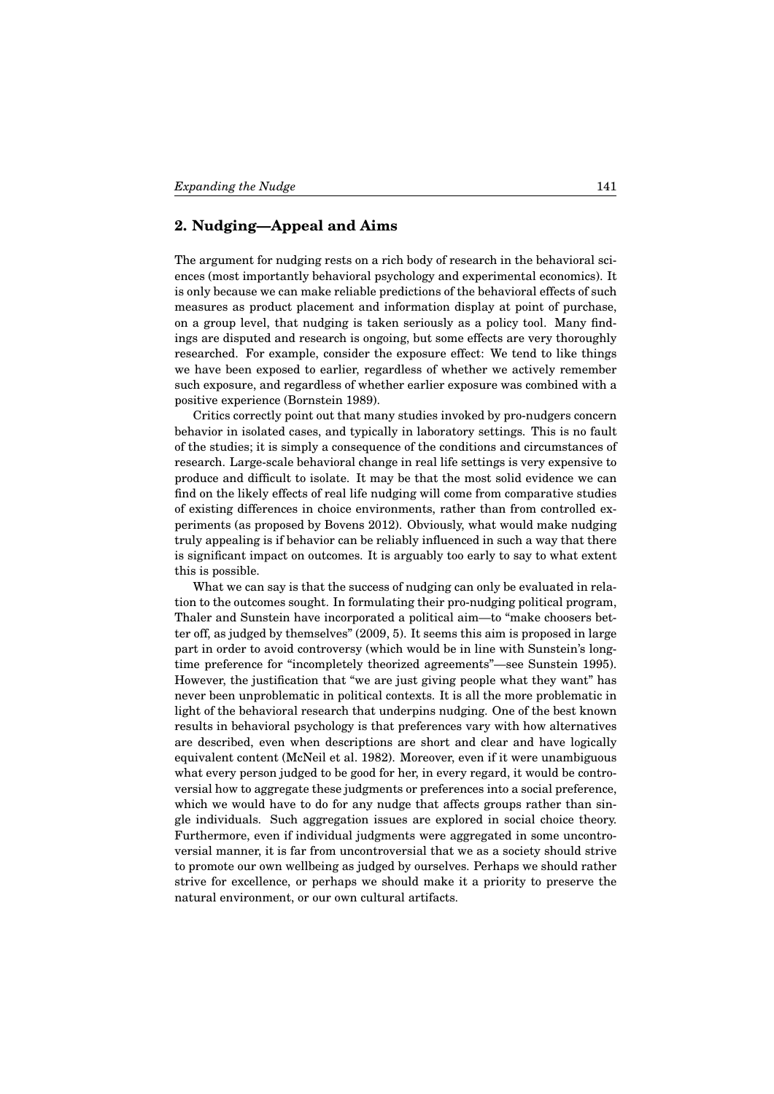## **2. Nudging—Appeal and Aims**

The argument for nudging rests on a rich body of research in the behavioral sciences (most importantly behavioral psychology and experimental economics). It is only because we can make reliable predictions of the behavioral effects of such measures as product placement and information display at point of purchase, on a group level, that nudging is taken seriously as a policy tool. Many findings are disputed and research is ongoing, but some effects are very thoroughly researched. For example, consider the exposure effect: We tend to like things we have been exposed to earlier, regardless of whether we actively remember such exposure, and regardless of whether earlier exposure was combined with a positive experience (Bornstein 1989).

Critics correctly point out that many studies invoked by pro-nudgers concern behavior in isolated cases, and typically in laboratory settings. This is no fault of the studies; it is simply a consequence of the conditions and circumstances of research. Large-scale behavioral change in real life settings is very expensive to produce and difficult to isolate. It may be that the most solid evidence we can find on the likely effects of real life nudging will come from comparative studies of existing differences in choice environments, rather than from controlled experiments (as proposed by Bovens 2012). Obviously, what would make nudging truly appealing is if behavior can be reliably influenced in such a way that there is significant impact on outcomes. It is arguably too early to say to what extent this is possible.

What we can say is that the success of nudging can only be evaluated in relation to the outcomes sought. In formulating their pro-nudging political program, Thaler and Sunstein have incorporated a political aim—to "make choosers better off, as judged by themselves" (2009, 5). It seems this aim is proposed in large part in order to avoid controversy (which would be in line with Sunstein's longtime preference for "incompletely theorized agreements"—see Sunstein 1995). However, the justification that "we are just giving people what they want" has never been unproblematic in political contexts. It is all the more problematic in light of the behavioral research that underpins nudging. One of the best known results in behavioral psychology is that preferences vary with how alternatives are described, even when descriptions are short and clear and have logically equivalent content (McNeil et al. 1982). Moreover, even if it were unambiguous what every person judged to be good for her, in every regard, it would be controversial how to aggregate these judgments or preferences into a social preference, which we would have to do for any nudge that affects groups rather than single individuals. Such aggregation issues are explored in social choice theory. Furthermore, even if individual judgments were aggregated in some uncontroversial manner, it is far from uncontroversial that we as a society should strive to promote our own wellbeing as judged by ourselves. Perhaps we should rather strive for excellence, or perhaps we should make it a priority to preserve the natural environment, or our own cultural artifacts.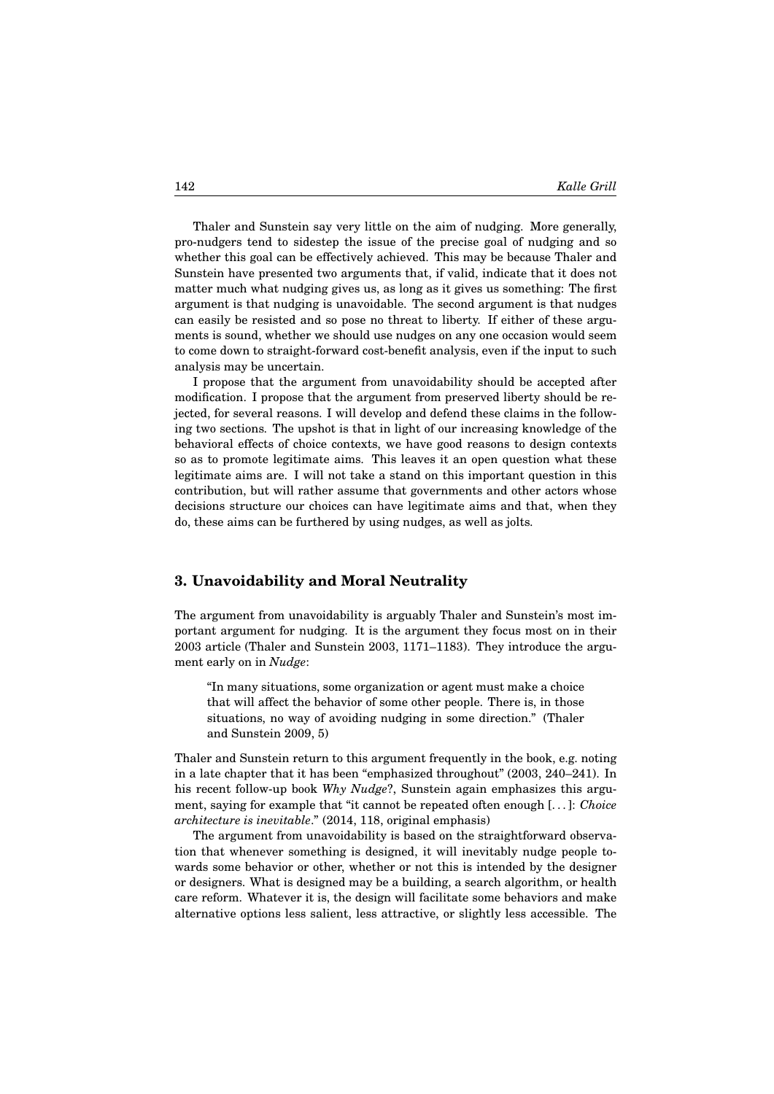Thaler and Sunstein say very little on the aim of nudging. More generally, pro-nudgers tend to sidestep the issue of the precise goal of nudging and so whether this goal can be effectively achieved. This may be because Thaler and Sunstein have presented two arguments that, if valid, indicate that it does not matter much what nudging gives us, as long as it gives us something: The first argument is that nudging is unavoidable. The second argument is that nudges can easily be resisted and so pose no threat to liberty. If either of these arguments is sound, whether we should use nudges on any one occasion would seem to come down to straight-forward cost-benefit analysis, even if the input to such analysis may be uncertain.

I propose that the argument from unavoidability should be accepted after modification. I propose that the argument from preserved liberty should be rejected, for several reasons. I will develop and defend these claims in the following two sections. The upshot is that in light of our increasing knowledge of the behavioral effects of choice contexts, we have good reasons to design contexts so as to promote legitimate aims. This leaves it an open question what these legitimate aims are. I will not take a stand on this important question in this contribution, but will rather assume that governments and other actors whose decisions structure our choices can have legitimate aims and that, when they do, these aims can be furthered by using nudges, as well as jolts.

#### **3. Unavoidability and Moral Neutrality**

The argument from unavoidability is arguably Thaler and Sunstein's most important argument for nudging. It is the argument they focus most on in their 2003 article (Thaler and Sunstein 2003, 1171–1183). They introduce the argument early on in *Nudge*:

"In many situations, some organization or agent must make a choice that will affect the behavior of some other people. There is, in those situations, no way of avoiding nudging in some direction." (Thaler and Sunstein 2009, 5)

Thaler and Sunstein return to this argument frequently in the book, e.g. noting in a late chapter that it has been "emphasized throughout" (2003, 240–241). In his recent follow-up book *Why Nudge*?, Sunstein again emphasizes this argument, saying for example that "it cannot be repeated often enough [. . . ]: *Choice architecture is inevitable*." (2014, 118, original emphasis)

The argument from unavoidability is based on the straightforward observation that whenever something is designed, it will inevitably nudge people towards some behavior or other, whether or not this is intended by the designer or designers. What is designed may be a building, a search algorithm, or health care reform. Whatever it is, the design will facilitate some behaviors and make alternative options less salient, less attractive, or slightly less accessible. The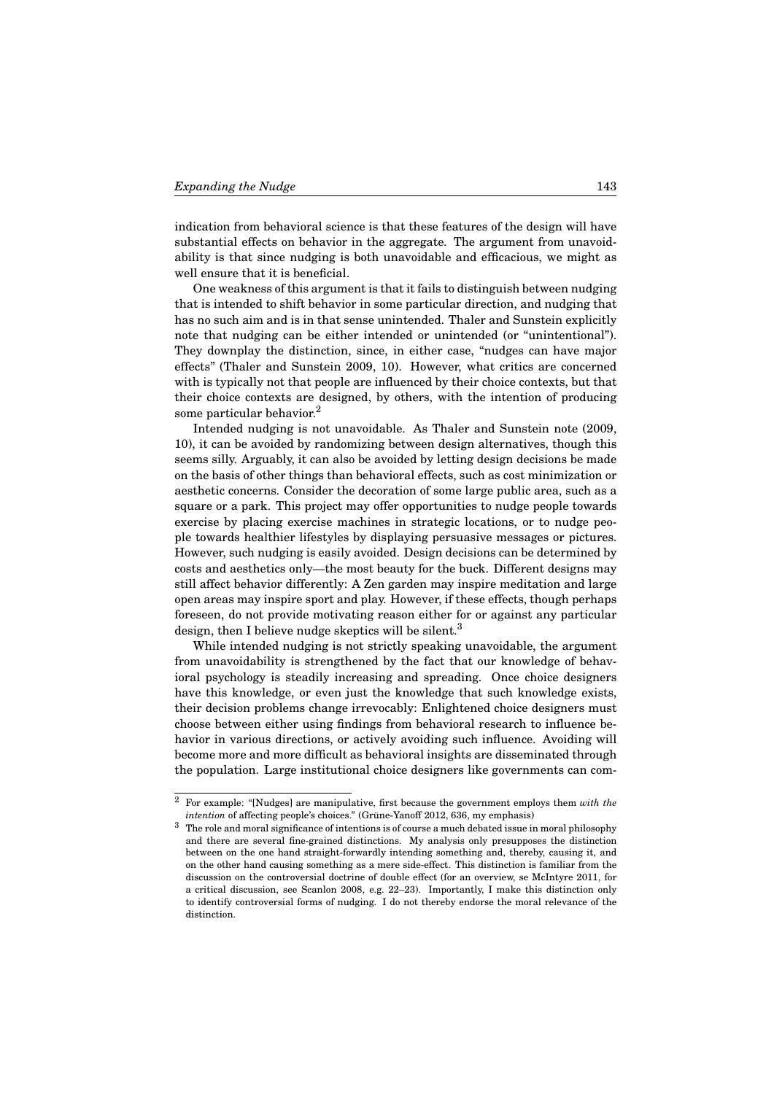indication from behavioral science is that these features of the design will have substantial effects on behavior in the aggregate. The argument from unavoidability is that since nudging is both unavoidable and efficacious, we might as well ensure that it is beneficial.

One weakness of this argument is that it fails to distinguish between nudging that is intended to shift behavior in some particular direction, and nudging that has no such aim and is in that sense unintended. Thaler and Sunstein explicitly note that nudging can be either intended or unintended (or "unintentional"). They downplay the distinction, since, in either case, "nudges can have major effects" (Thaler and Sunstein 2009, 10). However, what critics are concerned with is typically not that people are influenced by their choice contexts, but that their choice contexts are designed, by others, with the intention of producing some particular behavior.<sup>2</sup>

Intended nudging is not unavoidable. As Thaler and Sunstein note (2009, 10), it can be avoided by randomizing between design alternatives, though this seems silly. Arguably, it can also be avoided by letting design decisions be made on the basis of other things than behavioral effects, such as cost minimization or aesthetic concerns. Consider the decoration of some large public area, such as a square or a park. This project may offer opportunities to nudge people towards exercise by placing exercise machines in strategic locations, or to nudge people towards healthier lifestyles by displaying persuasive messages or pictures. However, such nudging is easily avoided. Design decisions can be determined by costs and aesthetics only—the most beauty for the buck. Different designs may still affect behavior differently: A Zen garden may inspire meditation and large open areas may inspire sport and play. However, if these effects, though perhaps foreseen, do not provide motivating reason either for or against any particular design, then I believe nudge skeptics will be silent.<sup>3</sup>

While intended nudging is not strictly speaking unavoidable, the argument from unavoidability is strengthened by the fact that our knowledge of behavioral psychology is steadily increasing and spreading. Once choice designers have this knowledge, or even just the knowledge that such knowledge exists, their decision problems change irrevocably: Enlightened choice designers must choose between either using findings from behavioral research to influence behavior in various directions, or actively avoiding such influence. Avoiding will become more and more difficult as behavioral insights are disseminated through the population. Large institutional choice designers like governments can com-

<sup>2</sup> For example: "[Nudges] are manipulative, first because the government employs them *with the intention* of affecting people's choices." (Grüne-Yanoff 2012, 636, my emphasis)

 $^3$  The role and moral significance of intentions is of course a much debated issue in moral philosophy and there are several fine-grained distinctions. My analysis only presupposes the distinction between on the one hand straight-forwardly intending something and, thereby, causing it, and on the other hand causing something as a mere side-effect. This distinction is familiar from the discussion on the controversial doctrine of double effect (for an overview, se McIntyre 2011, for a critical discussion, see Scanlon 2008, e.g. 22–23). Importantly, I make this distinction only to identify controversial forms of nudging. I do not thereby endorse the moral relevance of the distinction.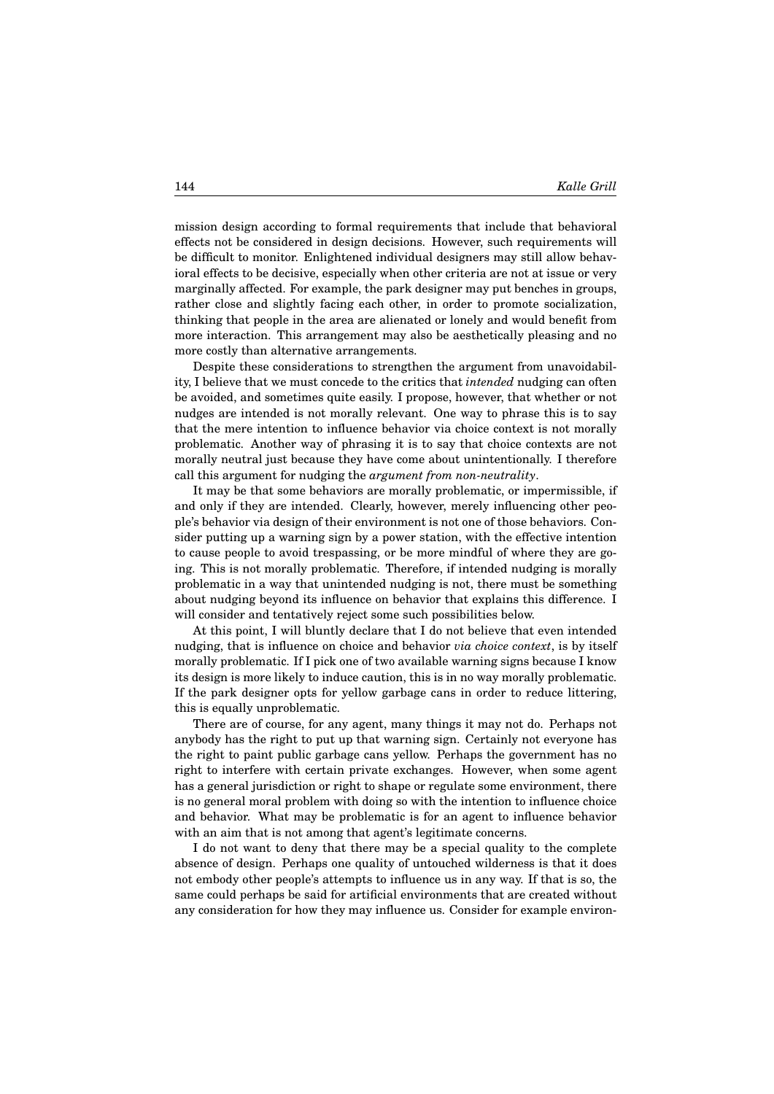mission design according to formal requirements that include that behavioral effects not be considered in design decisions. However, such requirements will be difficult to monitor. Enlightened individual designers may still allow behavioral effects to be decisive, especially when other criteria are not at issue or very marginally affected. For example, the park designer may put benches in groups, rather close and slightly facing each other, in order to promote socialization, thinking that people in the area are alienated or lonely and would benefit from more interaction. This arrangement may also be aesthetically pleasing and no more costly than alternative arrangements.

Despite these considerations to strengthen the argument from unavoidability, I believe that we must concede to the critics that *intended* nudging can often be avoided, and sometimes quite easily. I propose, however, that whether or not nudges are intended is not morally relevant. One way to phrase this is to say that the mere intention to influence behavior via choice context is not morally problematic. Another way of phrasing it is to say that choice contexts are not morally neutral just because they have come about unintentionally. I therefore call this argument for nudging the *argument from non-neutrality*.

It may be that some behaviors are morally problematic, or impermissible, if and only if they are intended. Clearly, however, merely influencing other people's behavior via design of their environment is not one of those behaviors. Consider putting up a warning sign by a power station, with the effective intention to cause people to avoid trespassing, or be more mindful of where they are going. This is not morally problematic. Therefore, if intended nudging is morally problematic in a way that unintended nudging is not, there must be something about nudging beyond its influence on behavior that explains this difference. I will consider and tentatively reject some such possibilities below.

At this point, I will bluntly declare that I do not believe that even intended nudging, that is influence on choice and behavior *via choice context*, is by itself morally problematic. If I pick one of two available warning signs because I know its design is more likely to induce caution, this is in no way morally problematic. If the park designer opts for yellow garbage cans in order to reduce littering, this is equally unproblematic.

There are of course, for any agent, many things it may not do. Perhaps not anybody has the right to put up that warning sign. Certainly not everyone has the right to paint public garbage cans yellow. Perhaps the government has no right to interfere with certain private exchanges. However, when some agent has a general jurisdiction or right to shape or regulate some environment, there is no general moral problem with doing so with the intention to influence choice and behavior. What may be problematic is for an agent to influence behavior with an aim that is not among that agent's legitimate concerns.

I do not want to deny that there may be a special quality to the complete absence of design. Perhaps one quality of untouched wilderness is that it does not embody other people's attempts to influence us in any way. If that is so, the same could perhaps be said for artificial environments that are created without any consideration for how they may influence us. Consider for example environ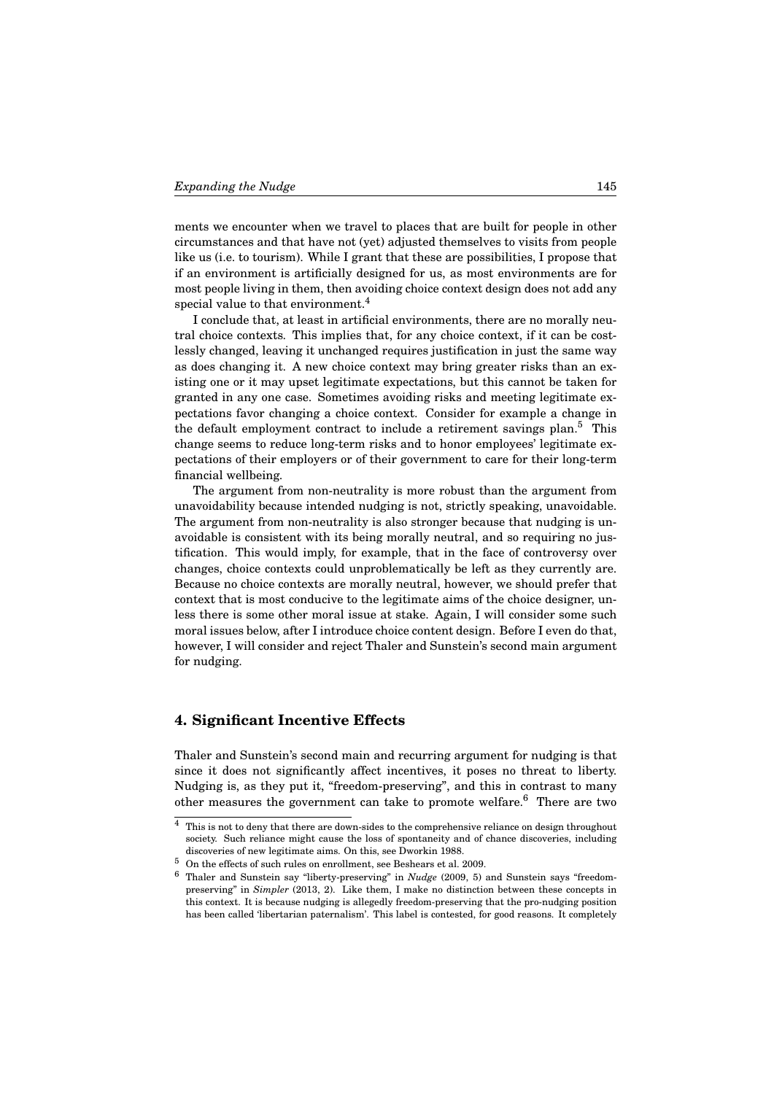ments we encounter when we travel to places that are built for people in other circumstances and that have not (yet) adjusted themselves to visits from people like us (i.e. to tourism). While I grant that these are possibilities, I propose that if an environment is artificially designed for us, as most environments are for most people living in them, then avoiding choice context design does not add any special value to that environment.<sup>4</sup>

I conclude that, at least in artificial environments, there are no morally neutral choice contexts. This implies that, for any choice context, if it can be costlessly changed, leaving it unchanged requires justification in just the same way as does changing it. A new choice context may bring greater risks than an existing one or it may upset legitimate expectations, but this cannot be taken for granted in any one case. Sometimes avoiding risks and meeting legitimate expectations favor changing a choice context. Consider for example a change in the default employment contract to include a retirement savings plan.<sup>5</sup> This change seems to reduce long-term risks and to honor employees' legitimate expectations of their employers or of their government to care for their long-term financial wellbeing.

The argument from non-neutrality is more robust than the argument from unavoidability because intended nudging is not, strictly speaking, unavoidable. The argument from non-neutrality is also stronger because that nudging is unavoidable is consistent with its being morally neutral, and so requiring no justification. This would imply, for example, that in the face of controversy over changes, choice contexts could unproblematically be left as they currently are. Because no choice contexts are morally neutral, however, we should prefer that context that is most conducive to the legitimate aims of the choice designer, unless there is some other moral issue at stake. Again, I will consider some such moral issues below, after I introduce choice content design. Before I even do that, however, I will consider and reject Thaler and Sunstein's second main argument for nudging.

### **4. Significant Incentive Effects**

Thaler and Sunstein's second main and recurring argument for nudging is that since it does not significantly affect incentives, it poses no threat to liberty. Nudging is, as they put it, "freedom-preserving", and this in contrast to many other measures the government can take to promote welfare. $6$  There are two

 $^4\;$  This is not to deny that there are down-sides to the comprehensive reliance on design throughout society. Such reliance might cause the loss of spontaneity and of chance discoveries, including discoveries of new legitimate aims. On this, see Dworkin 1988.

 $5$  On the effects of such rules on enrollment, see Beshears et al. 2009.

<sup>6</sup> Thaler and Sunstein say "liberty-preserving" in *Nudge* (2009, 5) and Sunstein says "freedompreserving" in *Simpler* (2013, 2). Like them, I make no distinction between these concepts in this context. It is because nudging is allegedly freedom-preserving that the pro-nudging position has been called 'libertarian paternalism'. This label is contested, for good reasons. It completely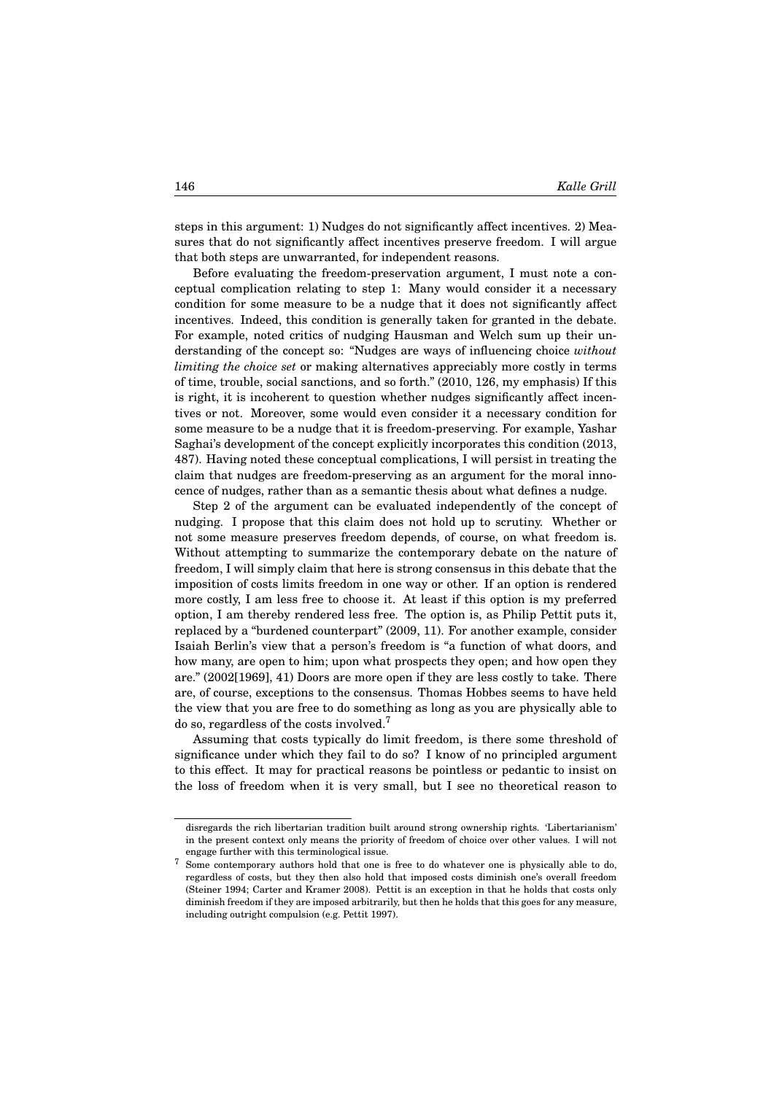steps in this argument: 1) Nudges do not significantly affect incentives. 2) Measures that do not significantly affect incentives preserve freedom. I will argue that both steps are unwarranted, for independent reasons.

Before evaluating the freedom-preservation argument, I must note a conceptual complication relating to step 1: Many would consider it a necessary condition for some measure to be a nudge that it does not significantly affect incentives. Indeed, this condition is generally taken for granted in the debate. For example, noted critics of nudging Hausman and Welch sum up their understanding of the concept so: "Nudges are ways of influencing choice *without limiting the choice set* or making alternatives appreciably more costly in terms of time, trouble, social sanctions, and so forth." (2010, 126, my emphasis) If this is right, it is incoherent to question whether nudges significantly affect incentives or not. Moreover, some would even consider it a necessary condition for some measure to be a nudge that it is freedom-preserving. For example, Yashar Saghai's development of the concept explicitly incorporates this condition (2013, 487). Having noted these conceptual complications, I will persist in treating the claim that nudges are freedom-preserving as an argument for the moral innocence of nudges, rather than as a semantic thesis about what defines a nudge.

Step 2 of the argument can be evaluated independently of the concept of nudging. I propose that this claim does not hold up to scrutiny. Whether or not some measure preserves freedom depends, of course, on what freedom is. Without attempting to summarize the contemporary debate on the nature of freedom, I will simply claim that here is strong consensus in this debate that the imposition of costs limits freedom in one way or other. If an option is rendered more costly, I am less free to choose it. At least if this option is my preferred option, I am thereby rendered less free. The option is, as Philip Pettit puts it, replaced by a "burdened counterpart" (2009, 11). For another example, consider Isaiah Berlin's view that a person's freedom is "a function of what doors, and how many, are open to him; upon what prospects they open; and how open they are." (2002[1969], 41) Doors are more open if they are less costly to take. There are, of course, exceptions to the consensus. Thomas Hobbes seems to have held the view that you are free to do something as long as you are physically able to do so, regardless of the costs involved.<sup>7</sup>

Assuming that costs typically do limit freedom, is there some threshold of significance under which they fail to do so? I know of no principled argument to this effect. It may for practical reasons be pointless or pedantic to insist on the loss of freedom when it is very small, but I see no theoretical reason to

disregards the rich libertarian tradition built around strong ownership rights. 'Libertarianism' in the present context only means the priority of freedom of choice over other values. I will not engage further with this terminological issue.

<sup>&</sup>lt;sup>7</sup> Some contemporary authors hold that one is free to do whatever one is physically able to do, regardless of costs, but they then also hold that imposed costs diminish one's overall freedom (Steiner 1994; Carter and Kramer 2008). Pettit is an exception in that he holds that costs only diminish freedom if they are imposed arbitrarily, but then he holds that this goes for any measure, including outright compulsion (e.g. Pettit 1997).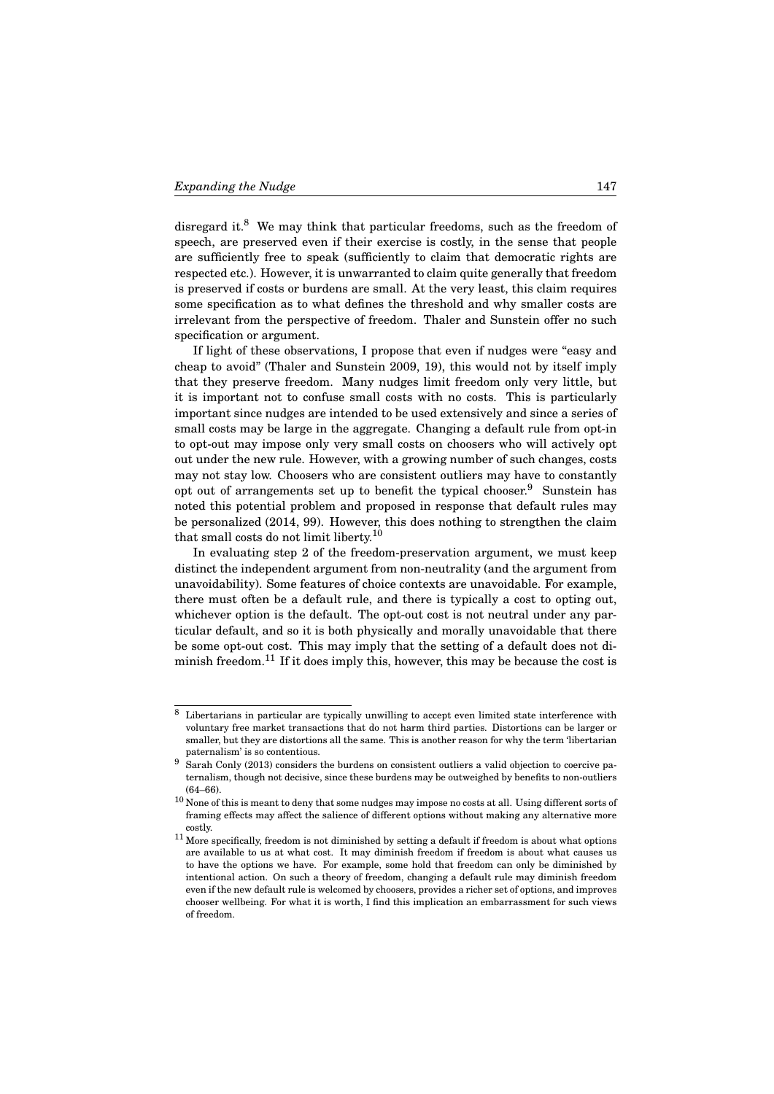disregard it.<sup>8</sup> We may think that particular freedoms, such as the freedom of speech, are preserved even if their exercise is costly, in the sense that people are sufficiently free to speak (sufficiently to claim that democratic rights are respected etc.). However, it is unwarranted to claim quite generally that freedom is preserved if costs or burdens are small. At the very least, this claim requires some specification as to what defines the threshold and why smaller costs are irrelevant from the perspective of freedom. Thaler and Sunstein offer no such specification or argument.

If light of these observations, I propose that even if nudges were "easy and cheap to avoid" (Thaler and Sunstein 2009, 19), this would not by itself imply that they preserve freedom. Many nudges limit freedom only very little, but it is important not to confuse small costs with no costs. This is particularly important since nudges are intended to be used extensively and since a series of small costs may be large in the aggregate. Changing a default rule from opt-in to opt-out may impose only very small costs on choosers who will actively opt out under the new rule. However, with a growing number of such changes, costs may not stay low. Choosers who are consistent outliers may have to constantly opt out of arrangements set up to benefit the typical chooser.<sup>9</sup> Sunstein has noted this potential problem and proposed in response that default rules may be personalized (2014, 99). However, this does nothing to strengthen the claim that small costs do not limit liberty.<sup>10</sup>

In evaluating step 2 of the freedom-preservation argument, we must keep distinct the independent argument from non-neutrality (and the argument from unavoidability). Some features of choice contexts are unavoidable. For example, there must often be a default rule, and there is typically a cost to opting out, whichever option is the default. The opt-out cost is not neutral under any particular default, and so it is both physically and morally unavoidable that there be some opt-out cost. This may imply that the setting of a default does not diminish freedom.<sup>11</sup> If it does imply this, however, this may be because the cost is

<sup>8</sup> Libertarians in particular are typically unwilling to accept even limited state interference with voluntary free market transactions that do not harm third parties. Distortions can be larger or smaller, but they are distortions all the same. This is another reason for why the term 'libertarian paternalism' is so contentious.

<sup>9</sup> Sarah Conly (2013) considers the burdens on consistent outliers a valid objection to coercive paternalism, though not decisive, since these burdens may be outweighed by benefits to non-outliers (64–66).

 $10$  None of this is meant to deny that some nudges may impose no costs at all. Using different sorts of framing effects may affect the salience of different options without making any alternative more costly.

 $^{11}$  More specifically, freedom is not diminished by setting a default if freedom is about what options are available to us at what cost. It may diminish freedom if freedom is about what causes us to have the options we have. For example, some hold that freedom can only be diminished by intentional action. On such a theory of freedom, changing a default rule may diminish freedom even if the new default rule is welcomed by choosers, provides a richer set of options, and improves chooser wellbeing. For what it is worth, I find this implication an embarrassment for such views of freedom.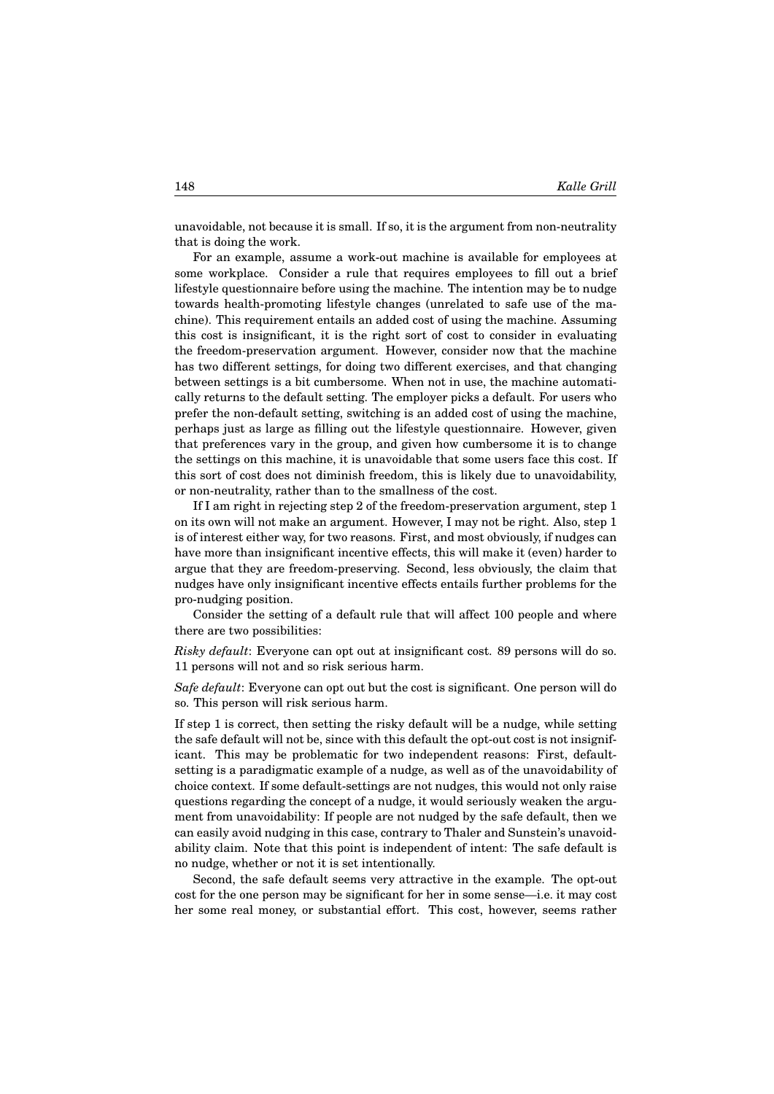unavoidable, not because it is small. If so, it is the argument from non-neutrality that is doing the work.

For an example, assume a work-out machine is available for employees at some workplace. Consider a rule that requires employees to fill out a brief lifestyle questionnaire before using the machine. The intention may be to nudge towards health-promoting lifestyle changes (unrelated to safe use of the machine). This requirement entails an added cost of using the machine. Assuming this cost is insignificant, it is the right sort of cost to consider in evaluating the freedom-preservation argument. However, consider now that the machine has two different settings, for doing two different exercises, and that changing between settings is a bit cumbersome. When not in use, the machine automatically returns to the default setting. The employer picks a default. For users who prefer the non-default setting, switching is an added cost of using the machine, perhaps just as large as filling out the lifestyle questionnaire. However, given that preferences vary in the group, and given how cumbersome it is to change the settings on this machine, it is unavoidable that some users face this cost. If this sort of cost does not diminish freedom, this is likely due to unavoidability, or non-neutrality, rather than to the smallness of the cost.

If I am right in rejecting step 2 of the freedom-preservation argument, step 1 on its own will not make an argument. However, I may not be right. Also, step 1 is of interest either way, for two reasons. First, and most obviously, if nudges can have more than insignificant incentive effects, this will make it (even) harder to argue that they are freedom-preserving. Second, less obviously, the claim that nudges have only insignificant incentive effects entails further problems for the pro-nudging position.

Consider the setting of a default rule that will affect 100 people and where there are two possibilities:

*Risky default*: Everyone can opt out at insignificant cost. 89 persons will do so. 11 persons will not and so risk serious harm.

*Safe default*: Everyone can opt out but the cost is significant. One person will do so. This person will risk serious harm.

If step 1 is correct, then setting the risky default will be a nudge, while setting the safe default will not be, since with this default the opt-out cost is not insignificant. This may be problematic for two independent reasons: First, defaultsetting is a paradigmatic example of a nudge, as well as of the unavoidability of choice context. If some default-settings are not nudges, this would not only raise questions regarding the concept of a nudge, it would seriously weaken the argument from unavoidability: If people are not nudged by the safe default, then we can easily avoid nudging in this case, contrary to Thaler and Sunstein's unavoidability claim. Note that this point is independent of intent: The safe default is no nudge, whether or not it is set intentionally.

Second, the safe default seems very attractive in the example. The opt-out cost for the one person may be significant for her in some sense—i.e. it may cost her some real money, or substantial effort. This cost, however, seems rather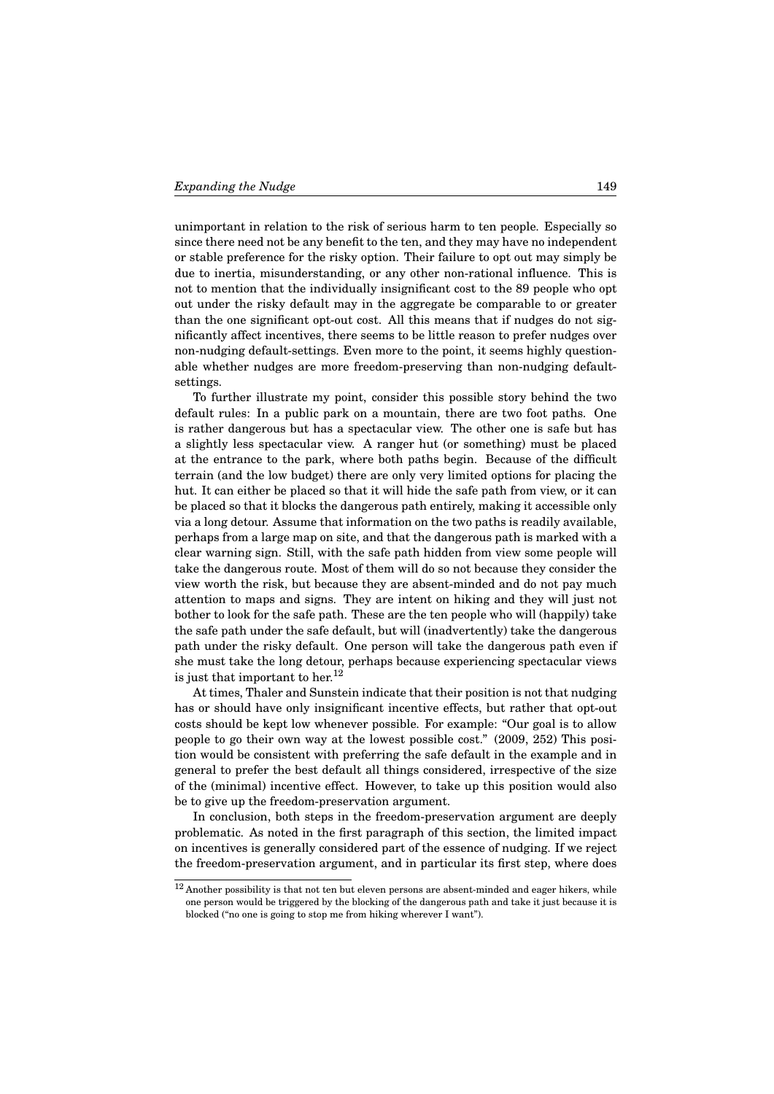unimportant in relation to the risk of serious harm to ten people. Especially so since there need not be any benefit to the ten, and they may have no independent or stable preference for the risky option. Their failure to opt out may simply be due to inertia, misunderstanding, or any other non-rational influence. This is not to mention that the individually insignificant cost to the 89 people who opt out under the risky default may in the aggregate be comparable to or greater than the one significant opt-out cost. All this means that if nudges do not significantly affect incentives, there seems to be little reason to prefer nudges over non-nudging default-settings. Even more to the point, it seems highly questionable whether nudges are more freedom-preserving than non-nudging defaultsettings.

To further illustrate my point, consider this possible story behind the two default rules: In a public park on a mountain, there are two foot paths. One is rather dangerous but has a spectacular view. The other one is safe but has a slightly less spectacular view. A ranger hut (or something) must be placed at the entrance to the park, where both paths begin. Because of the difficult terrain (and the low budget) there are only very limited options for placing the hut. It can either be placed so that it will hide the safe path from view, or it can be placed so that it blocks the dangerous path entirely, making it accessible only via a long detour. Assume that information on the two paths is readily available, perhaps from a large map on site, and that the dangerous path is marked with a clear warning sign. Still, with the safe path hidden from view some people will take the dangerous route. Most of them will do so not because they consider the view worth the risk, but because they are absent-minded and do not pay much attention to maps and signs. They are intent on hiking and they will just not bother to look for the safe path. These are the ten people who will (happily) take the safe path under the safe default, but will (inadvertently) take the dangerous path under the risky default. One person will take the dangerous path even if she must take the long detour, perhaps because experiencing spectacular views is just that important to her.<sup>12</sup>

At times, Thaler and Sunstein indicate that their position is not that nudging has or should have only insignificant incentive effects, but rather that opt-out costs should be kept low whenever possible. For example: "Our goal is to allow people to go their own way at the lowest possible cost." (2009, 252) This position would be consistent with preferring the safe default in the example and in general to prefer the best default all things considered, irrespective of the size of the (minimal) incentive effect. However, to take up this position would also be to give up the freedom-preservation argument.

In conclusion, both steps in the freedom-preservation argument are deeply problematic. As noted in the first paragraph of this section, the limited impact on incentives is generally considered part of the essence of nudging. If we reject the freedom-preservation argument, and in particular its first step, where does

 $12$  Another possibility is that not ten but eleven persons are absent-minded and eager hikers, while one person would be triggered by the blocking of the dangerous path and take it just because it is blocked ("no one is going to stop me from hiking wherever I want").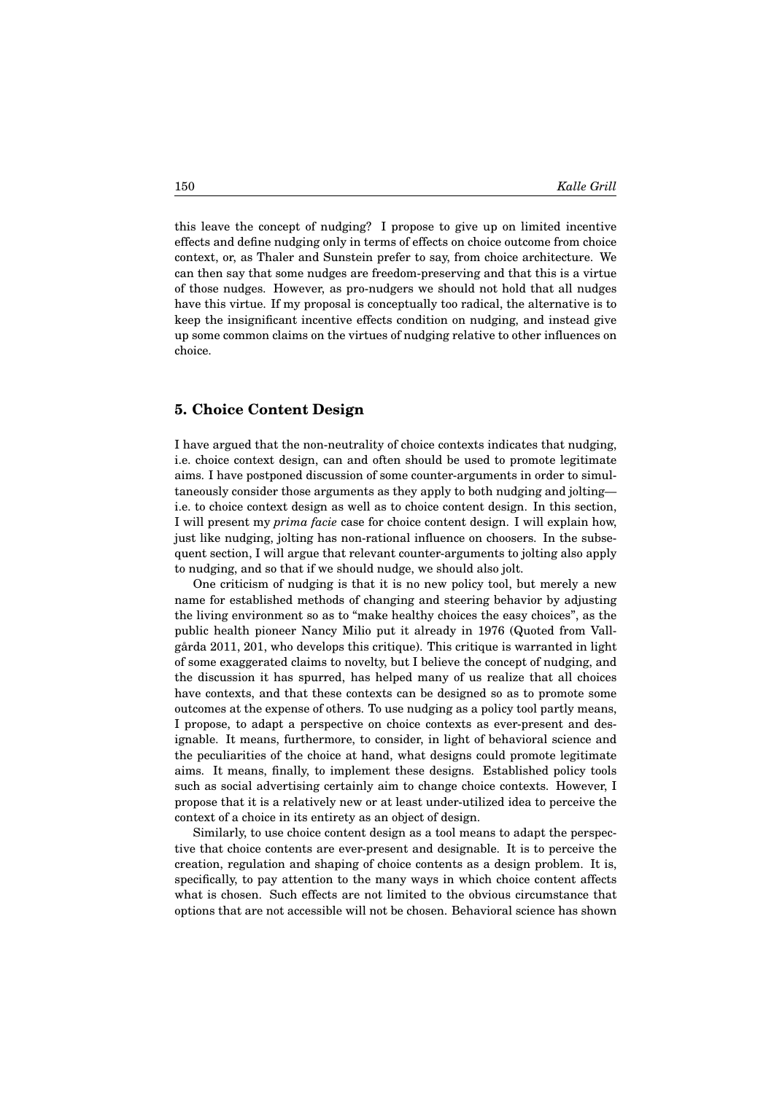this leave the concept of nudging? I propose to give up on limited incentive effects and define nudging only in terms of effects on choice outcome from choice context, or, as Thaler and Sunstein prefer to say, from choice architecture. We can then say that some nudges are freedom-preserving and that this is a virtue of those nudges. However, as pro-nudgers we should not hold that all nudges have this virtue. If my proposal is conceptually too radical, the alternative is to keep the insignificant incentive effects condition on nudging, and instead give up some common claims on the virtues of nudging relative to other influences on choice.

#### **5. Choice Content Design**

I have argued that the non-neutrality of choice contexts indicates that nudging, i.e. choice context design, can and often should be used to promote legitimate aims. I have postponed discussion of some counter-arguments in order to simultaneously consider those arguments as they apply to both nudging and jolting i.e. to choice context design as well as to choice content design. In this section, I will present my *prima facie* case for choice content design. I will explain how, just like nudging, jolting has non-rational influence on choosers. In the subsequent section, I will argue that relevant counter-arguments to jolting also apply to nudging, and so that if we should nudge, we should also jolt.

One criticism of nudging is that it is no new policy tool, but merely a new name for established methods of changing and steering behavior by adjusting the living environment so as to "make healthy choices the easy choices", as the public health pioneer Nancy Milio put it already in 1976 (Quoted from Vallgårda 2011, 201, who develops this critique). This critique is warranted in light of some exaggerated claims to novelty, but I believe the concept of nudging, and the discussion it has spurred, has helped many of us realize that all choices have contexts, and that these contexts can be designed so as to promote some outcomes at the expense of others. To use nudging as a policy tool partly means, I propose, to adapt a perspective on choice contexts as ever-present and designable. It means, furthermore, to consider, in light of behavioral science and the peculiarities of the choice at hand, what designs could promote legitimate aims. It means, finally, to implement these designs. Established policy tools such as social advertising certainly aim to change choice contexts. However, I propose that it is a relatively new or at least under-utilized idea to perceive the context of a choice in its entirety as an object of design.

Similarly, to use choice content design as a tool means to adapt the perspective that choice contents are ever-present and designable. It is to perceive the creation, regulation and shaping of choice contents as a design problem. It is, specifically, to pay attention to the many ways in which choice content affects what is chosen. Such effects are not limited to the obvious circumstance that options that are not accessible will not be chosen. Behavioral science has shown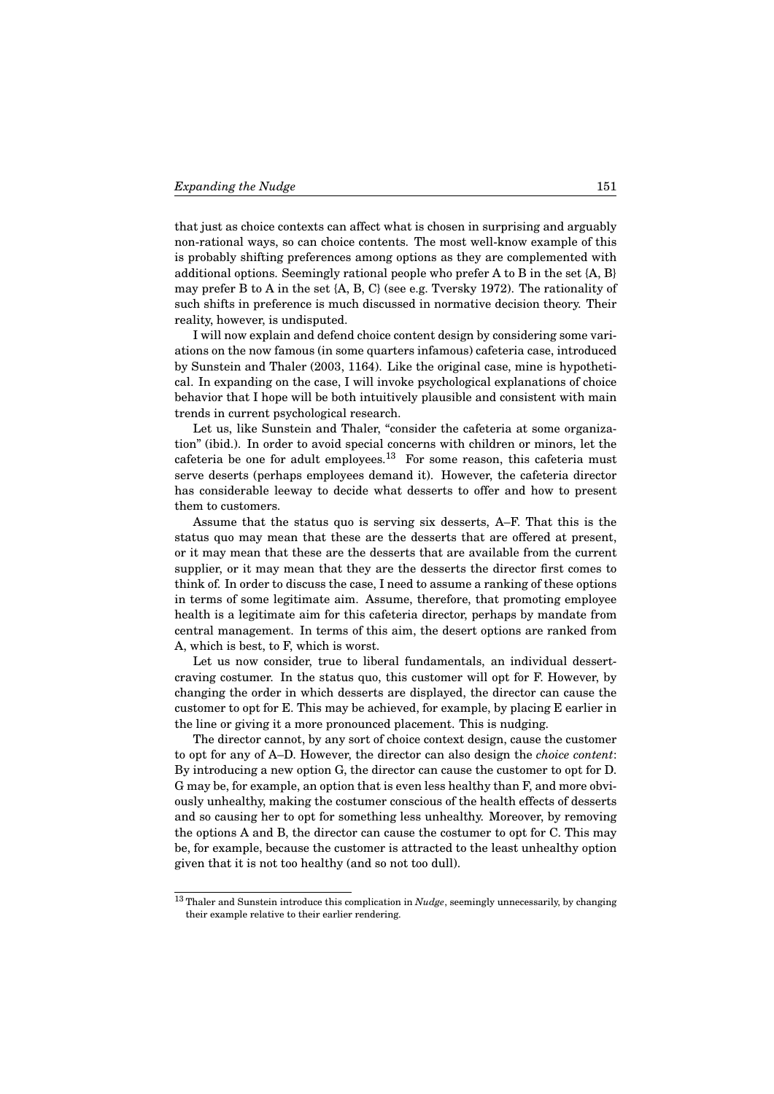that just as choice contexts can affect what is chosen in surprising and arguably non-rational ways, so can choice contents. The most well-know example of this is probably shifting preferences among options as they are complemented with additional options. Seemingly rational people who prefer A to B in the set {A, B} may prefer B to A in the set {A, B, C} (see e.g. Tversky 1972). The rationality of such shifts in preference is much discussed in normative decision theory. Their reality, however, is undisputed.

I will now explain and defend choice content design by considering some variations on the now famous (in some quarters infamous) cafeteria case, introduced by Sunstein and Thaler (2003, 1164). Like the original case, mine is hypothetical. In expanding on the case, I will invoke psychological explanations of choice behavior that I hope will be both intuitively plausible and consistent with main trends in current psychological research.

Let us, like Sunstein and Thaler, "consider the cafeteria at some organization" (ibid.). In order to avoid special concerns with children or minors, let the cafeteria be one for adult employees.<sup>13</sup> For some reason, this cafeteria must serve deserts (perhaps employees demand it). However, the cafeteria director has considerable leeway to decide what desserts to offer and how to present them to customers.

Assume that the status quo is serving six desserts, A–F. That this is the status quo may mean that these are the desserts that are offered at present, or it may mean that these are the desserts that are available from the current supplier, or it may mean that they are the desserts the director first comes to think of. In order to discuss the case, I need to assume a ranking of these options in terms of some legitimate aim. Assume, therefore, that promoting employee health is a legitimate aim for this cafeteria director, perhaps by mandate from central management. In terms of this aim, the desert options are ranked from A, which is best, to F, which is worst.

Let us now consider, true to liberal fundamentals, an individual dessertcraving costumer. In the status quo, this customer will opt for F. However, by changing the order in which desserts are displayed, the director can cause the customer to opt for E. This may be achieved, for example, by placing E earlier in the line or giving it a more pronounced placement. This is nudging.

The director cannot, by any sort of choice context design, cause the customer to opt for any of A–D. However, the director can also design the *choice content*: By introducing a new option G, the director can cause the customer to opt for D. G may be, for example, an option that is even less healthy than F, and more obviously unhealthy, making the costumer conscious of the health effects of desserts and so causing her to opt for something less unhealthy. Moreover, by removing the options A and B, the director can cause the costumer to opt for C. This may be, for example, because the customer is attracted to the least unhealthy option given that it is not too healthy (and so not too dull).

<sup>13</sup> Thaler and Sunstein introduce this complication in *Nudge*, seemingly unnecessarily, by changing their example relative to their earlier rendering.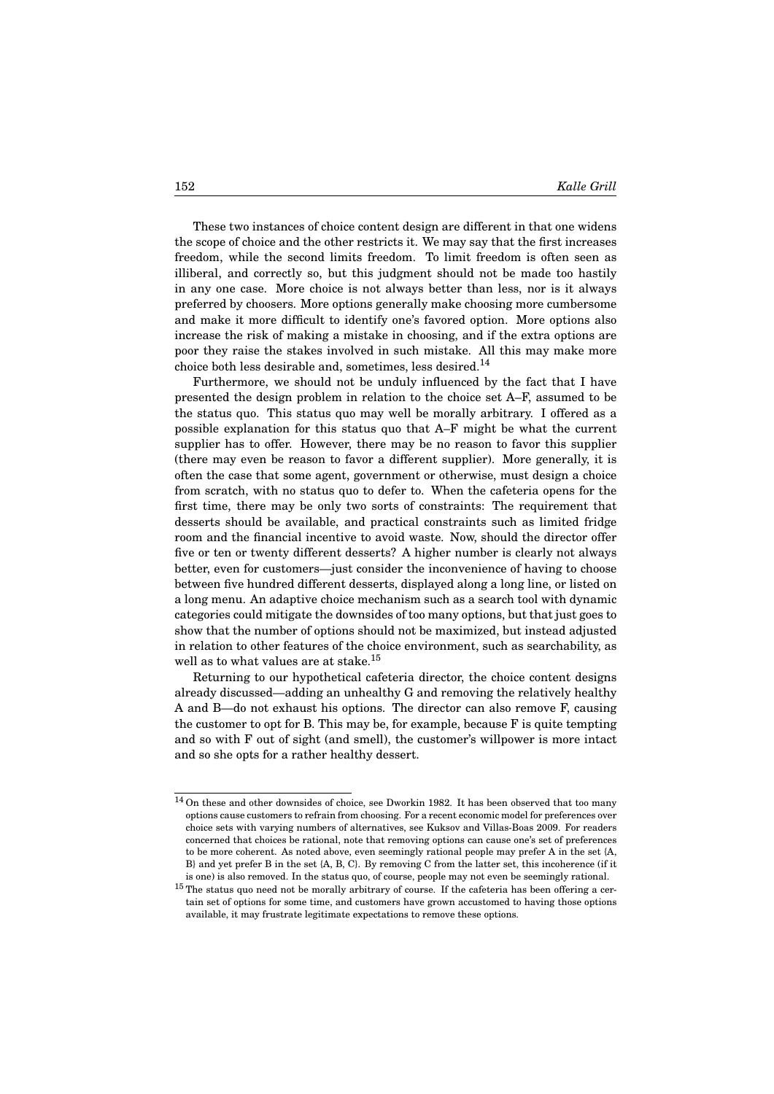These two instances of choice content design are different in that one widens the scope of choice and the other restricts it. We may say that the first increases freedom, while the second limits freedom. To limit freedom is often seen as illiberal, and correctly so, but this judgment should not be made too hastily in any one case. More choice is not always better than less, nor is it always preferred by choosers. More options generally make choosing more cumbersome and make it more difficult to identify one's favored option. More options also increase the risk of making a mistake in choosing, and if the extra options are poor they raise the stakes involved in such mistake. All this may make more choice both less desirable and, sometimes, less desired.<sup>14</sup>

Furthermore, we should not be unduly influenced by the fact that I have presented the design problem in relation to the choice set A–F, assumed to be the status quo. This status quo may well be morally arbitrary. I offered as a possible explanation for this status quo that A–F might be what the current supplier has to offer. However, there may be no reason to favor this supplier (there may even be reason to favor a different supplier). More generally, it is often the case that some agent, government or otherwise, must design a choice from scratch, with no status quo to defer to. When the cafeteria opens for the first time, there may be only two sorts of constraints: The requirement that desserts should be available, and practical constraints such as limited fridge room and the financial incentive to avoid waste. Now, should the director offer five or ten or twenty different desserts? A higher number is clearly not always better, even for customers—just consider the inconvenience of having to choose between five hundred different desserts, displayed along a long line, or listed on a long menu. An adaptive choice mechanism such as a search tool with dynamic categories could mitigate the downsides of too many options, but that just goes to show that the number of options should not be maximized, but instead adjusted in relation to other features of the choice environment, such as searchability, as well as to what values are at stake.<sup>15</sup>

Returning to our hypothetical cafeteria director, the choice content designs already discussed—adding an unhealthy G and removing the relatively healthy A and B—do not exhaust his options. The director can also remove F, causing the customer to opt for B. This may be, for example, because F is quite tempting and so with F out of sight (and smell), the customer's willpower is more intact and so she opts for a rather healthy dessert.

<sup>14</sup> On these and other downsides of choice, see Dworkin 1982. It has been observed that too many options cause customers to refrain from choosing. For a recent economic model for preferences over choice sets with varying numbers of alternatives, see Kuksov and Villas-Boas 2009. For readers concerned that choices be rational, note that removing options can cause one's set of preferences to be more coherent. As noted above, even seemingly rational people may prefer A in the set {A, B} and yet prefer B in the set {A, B, C}. By removing C from the latter set, this incoherence (if it is one) is also removed. In the status quo, of course, people may not even be seemingly rational.

 $^{15}$  The status quo need not be morally arbitrary of course. If the cafeteria has been offering a certain set of options for some time, and customers have grown accustomed to having those options available, it may frustrate legitimate expectations to remove these options.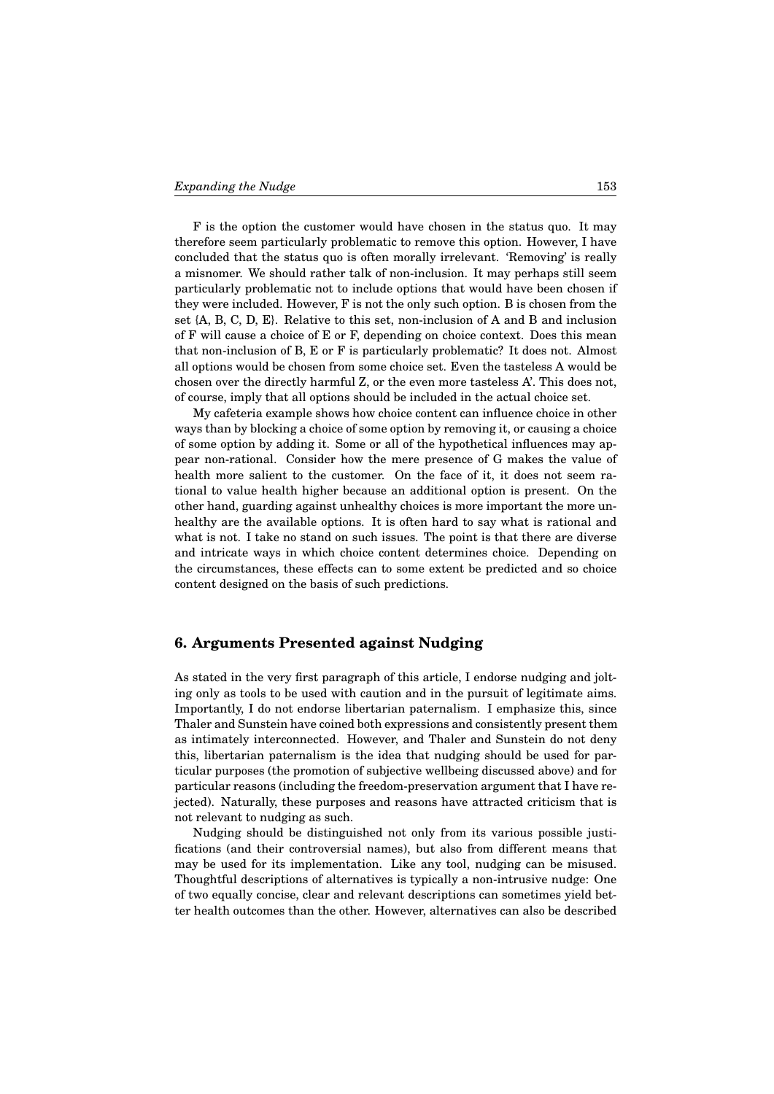F is the option the customer would have chosen in the status quo. It may therefore seem particularly problematic to remove this option. However, I have concluded that the status quo is often morally irrelevant. 'Removing' is really a misnomer. We should rather talk of non-inclusion. It may perhaps still seem particularly problematic not to include options that would have been chosen if they were included. However, F is not the only such option. B is chosen from the set {A, B, C, D, E}. Relative to this set, non-inclusion of A and B and inclusion of F will cause a choice of E or F, depending on choice context. Does this mean that non-inclusion of B, E or F is particularly problematic? It does not. Almost all options would be chosen from some choice set. Even the tasteless A would be chosen over the directly harmful Z, or the even more tasteless A'. This does not, of course, imply that all options should be included in the actual choice set.

My cafeteria example shows how choice content can influence choice in other ways than by blocking a choice of some option by removing it, or causing a choice of some option by adding it. Some or all of the hypothetical influences may appear non-rational. Consider how the mere presence of G makes the value of health more salient to the customer. On the face of it, it does not seem rational to value health higher because an additional option is present. On the other hand, guarding against unhealthy choices is more important the more unhealthy are the available options. It is often hard to say what is rational and what is not. I take no stand on such issues. The point is that there are diverse and intricate ways in which choice content determines choice. Depending on the circumstances, these effects can to some extent be predicted and so choice content designed on the basis of such predictions.

### **6. Arguments Presented against Nudging**

As stated in the very first paragraph of this article, I endorse nudging and jolting only as tools to be used with caution and in the pursuit of legitimate aims. Importantly, I do not endorse libertarian paternalism. I emphasize this, since Thaler and Sunstein have coined both expressions and consistently present them as intimately interconnected. However, and Thaler and Sunstein do not deny this, libertarian paternalism is the idea that nudging should be used for particular purposes (the promotion of subjective wellbeing discussed above) and for particular reasons (including the freedom-preservation argument that I have rejected). Naturally, these purposes and reasons have attracted criticism that is not relevant to nudging as such.

Nudging should be distinguished not only from its various possible justifications (and their controversial names), but also from different means that may be used for its implementation. Like any tool, nudging can be misused. Thoughtful descriptions of alternatives is typically a non-intrusive nudge: One of two equally concise, clear and relevant descriptions can sometimes yield better health outcomes than the other. However, alternatives can also be described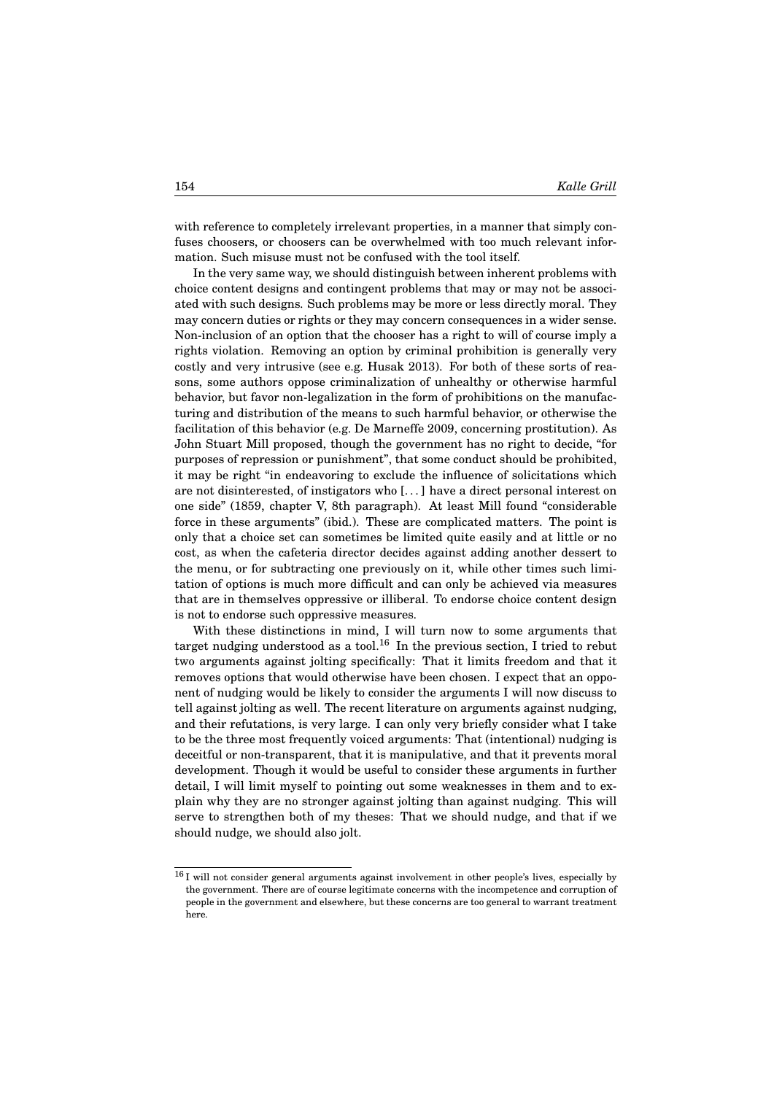with reference to completely irrelevant properties, in a manner that simply confuses choosers, or choosers can be overwhelmed with too much relevant information. Such misuse must not be confused with the tool itself.

In the very same way, we should distinguish between inherent problems with choice content designs and contingent problems that may or may not be associated with such designs. Such problems may be more or less directly moral. They may concern duties or rights or they may concern consequences in a wider sense. Non-inclusion of an option that the chooser has a right to will of course imply a rights violation. Removing an option by criminal prohibition is generally very costly and very intrusive (see e.g. Husak 2013). For both of these sorts of reasons, some authors oppose criminalization of unhealthy or otherwise harmful behavior, but favor non-legalization in the form of prohibitions on the manufacturing and distribution of the means to such harmful behavior, or otherwise the facilitation of this behavior (e.g. De Marneffe 2009, concerning prostitution). As John Stuart Mill proposed, though the government has no right to decide, "for purposes of repression or punishment", that some conduct should be prohibited, it may be right "in endeavoring to exclude the influence of solicitations which are not disinterested, of instigators who [. . . ] have a direct personal interest on one side" (1859, chapter V, 8th paragraph). At least Mill found "considerable force in these arguments" (ibid.). These are complicated matters. The point is only that a choice set can sometimes be limited quite easily and at little or no cost, as when the cafeteria director decides against adding another dessert to the menu, or for subtracting one previously on it, while other times such limitation of options is much more difficult and can only be achieved via measures that are in themselves oppressive or illiberal. To endorse choice content design is not to endorse such oppressive measures.

With these distinctions in mind, I will turn now to some arguments that target nudging understood as a tool.<sup>16</sup> In the previous section, I tried to rebut two arguments against jolting specifically: That it limits freedom and that it removes options that would otherwise have been chosen. I expect that an opponent of nudging would be likely to consider the arguments I will now discuss to tell against jolting as well. The recent literature on arguments against nudging, and their refutations, is very large. I can only very briefly consider what I take to be the three most frequently voiced arguments: That (intentional) nudging is deceitful or non-transparent, that it is manipulative, and that it prevents moral development. Though it would be useful to consider these arguments in further detail, I will limit myself to pointing out some weaknesses in them and to explain why they are no stronger against jolting than against nudging. This will serve to strengthen both of my theses: That we should nudge, and that if we should nudge, we should also jolt.

 $^{16}\mathrm{I}$  will not consider general arguments against involvement in other people's lives, especially by the government. There are of course legitimate concerns with the incompetence and corruption of people in the government and elsewhere, but these concerns are too general to warrant treatment here.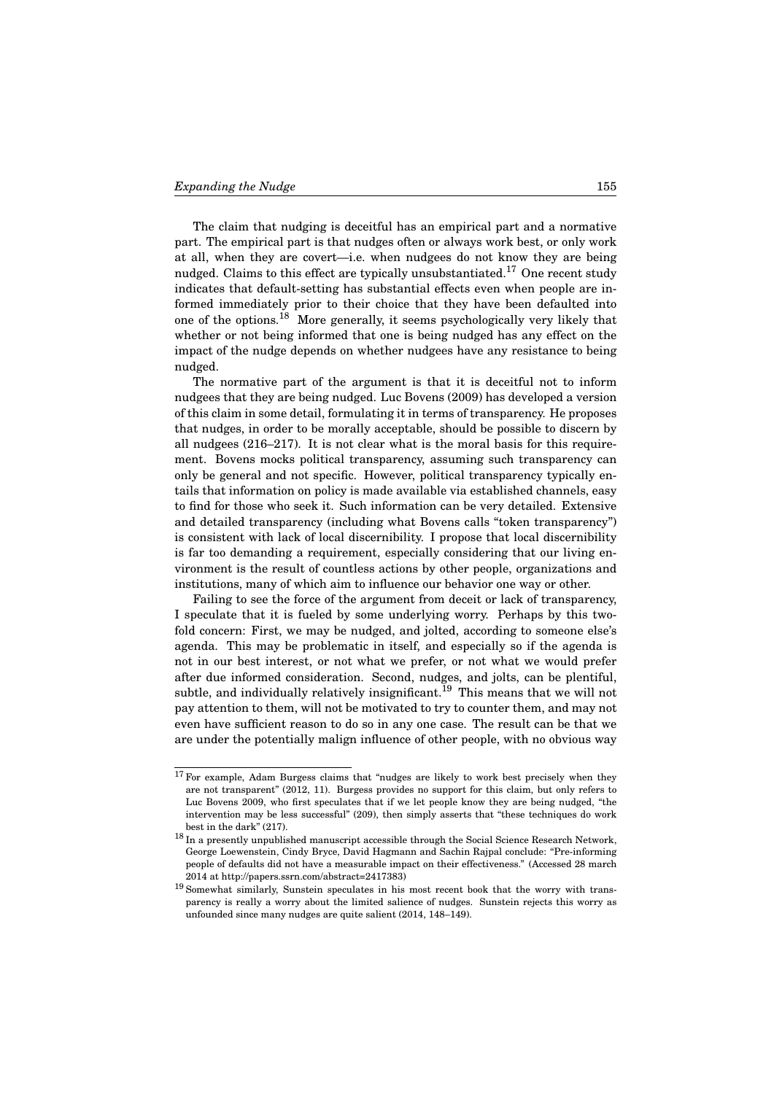The claim that nudging is deceitful has an empirical part and a normative part. The empirical part is that nudges often or always work best, or only work at all, when they are covert—i.e. when nudgees do not know they are being nudged. Claims to this effect are typically unsubstantiated.<sup>17</sup> One recent study indicates that default-setting has substantial effects even when people are informed immediately prior to their choice that they have been defaulted into one of the options.<sup>18</sup> More generally, it seems psychologically very likely that whether or not being informed that one is being nudged has any effect on the impact of the nudge depends on whether nudgees have any resistance to being nudged.

The normative part of the argument is that it is deceitful not to inform nudgees that they are being nudged. Luc Bovens (2009) has developed a version of this claim in some detail, formulating it in terms of transparency. He proposes that nudges, in order to be morally acceptable, should be possible to discern by all nudgees (216–217). It is not clear what is the moral basis for this requirement. Bovens mocks political transparency, assuming such transparency can only be general and not specific. However, political transparency typically entails that information on policy is made available via established channels, easy to find for those who seek it. Such information can be very detailed. Extensive and detailed transparency (including what Bovens calls "token transparency") is consistent with lack of local discernibility. I propose that local discernibility is far too demanding a requirement, especially considering that our living environment is the result of countless actions by other people, organizations and institutions, many of which aim to influence our behavior one way or other.

Failing to see the force of the argument from deceit or lack of transparency, I speculate that it is fueled by some underlying worry. Perhaps by this twofold concern: First, we may be nudged, and jolted, according to someone else's agenda. This may be problematic in itself, and especially so if the agenda is not in our best interest, or not what we prefer, or not what we would prefer after due informed consideration. Second, nudges, and jolts, can be plentiful, subtle, and individually relatively insignificant.<sup>19</sup> This means that we will not pay attention to them, will not be motivated to try to counter them, and may not even have sufficient reason to do so in any one case. The result can be that we are under the potentially malign influence of other people, with no obvious way

 $17$  For example, Adam Burgess claims that "nudges are likely to work best precisely when they are not transparent" (2012, 11). Burgess provides no support for this claim, but only refers to Luc Bovens 2009, who first speculates that if we let people know they are being nudged, "the intervention may be less successful" (209), then simply asserts that "these techniques do work best in the dark" (217).

<sup>&</sup>lt;sup>18</sup> In a presently unpublished manuscript accessible through the Social Science Research Network, George Loewenstein, Cindy Bryce, David Hagmann and Sachin Rajpal conclude: "Pre-informing people of defaults did not have a measurable impact on their effectiveness." (Accessed 28 march 2014 at http://papers.ssrn.com/abstract=2417383)

<sup>19</sup> Somewhat similarly, Sunstein speculates in his most recent book that the worry with transparency is really a worry about the limited salience of nudges. Sunstein rejects this worry as unfounded since many nudges are quite salient (2014, 148–149).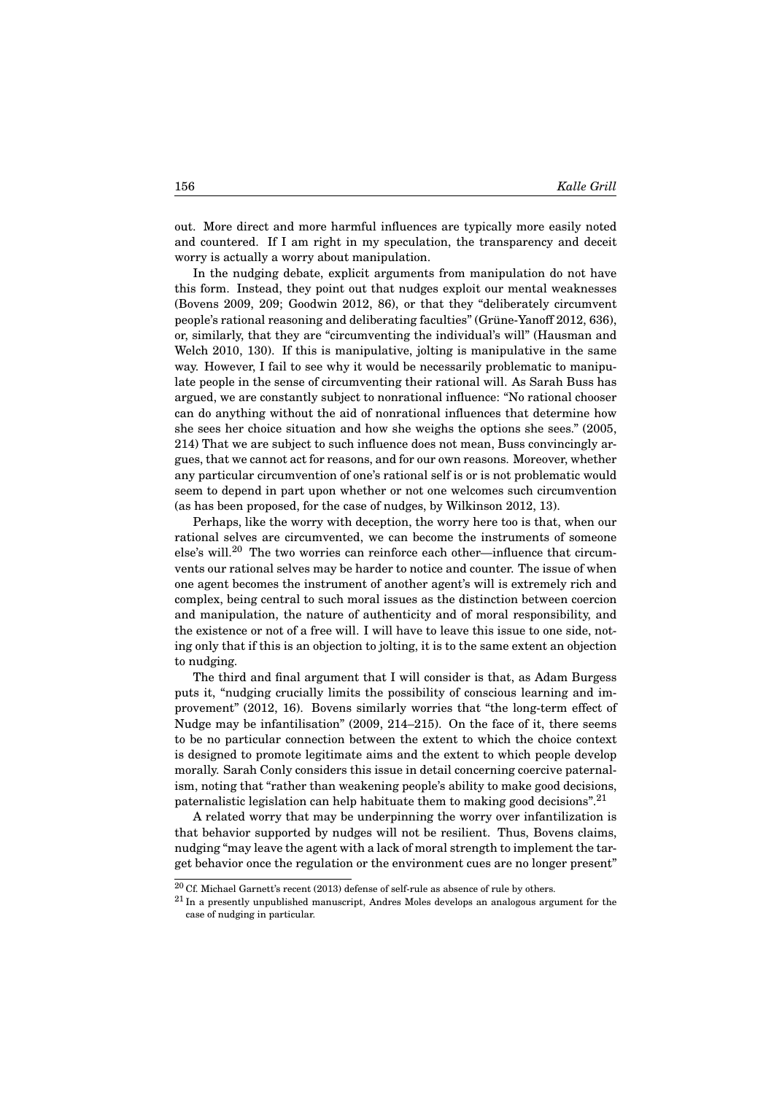out. More direct and more harmful influences are typically more easily noted and countered. If I am right in my speculation, the transparency and deceit worry is actually a worry about manipulation.

In the nudging debate, explicit arguments from manipulation do not have this form. Instead, they point out that nudges exploit our mental weaknesses (Bovens 2009, 209; Goodwin 2012, 86), or that they "deliberately circumvent people's rational reasoning and deliberating faculties" (Grüne-Yanoff 2012, 636), or, similarly, that they are "circumventing the individual's will" (Hausman and Welch 2010, 130). If this is manipulative, jolting is manipulative in the same way. However, I fail to see why it would be necessarily problematic to manipulate people in the sense of circumventing their rational will. As Sarah Buss has argued, we are constantly subject to nonrational influence: "No rational chooser can do anything without the aid of nonrational influences that determine how she sees her choice situation and how she weighs the options she sees." (2005, 214) That we are subject to such influence does not mean, Buss convincingly argues, that we cannot act for reasons, and for our own reasons. Moreover, whether any particular circumvention of one's rational self is or is not problematic would seem to depend in part upon whether or not one welcomes such circumvention (as has been proposed, for the case of nudges, by Wilkinson 2012, 13).

Perhaps, like the worry with deception, the worry here too is that, when our rational selves are circumvented, we can become the instruments of someone else's will.<sup>20</sup> The two worries can reinforce each other—influence that circumvents our rational selves may be harder to notice and counter. The issue of when one agent becomes the instrument of another agent's will is extremely rich and complex, being central to such moral issues as the distinction between coercion and manipulation, the nature of authenticity and of moral responsibility, and the existence or not of a free will. I will have to leave this issue to one side, noting only that if this is an objection to jolting, it is to the same extent an objection to nudging.

The third and final argument that I will consider is that, as Adam Burgess puts it, "nudging crucially limits the possibility of conscious learning and improvement" (2012, 16). Bovens similarly worries that "the long-term effect of Nudge may be infantilisation" (2009, 214–215). On the face of it, there seems to be no particular connection between the extent to which the choice context is designed to promote legitimate aims and the extent to which people develop morally. Sarah Conly considers this issue in detail concerning coercive paternalism, noting that "rather than weakening people's ability to make good decisions, paternalistic legislation can help habituate them to making good decisions".<sup>21</sup>

A related worry that may be underpinning the worry over infantilization is that behavior supported by nudges will not be resilient. Thus, Bovens claims, nudging "may leave the agent with a lack of moral strength to implement the target behavior once the regulation or the environment cues are no longer present"

 $20$  Cf. Michael Garnett's recent (2013) defense of self-rule as absence of rule by others.

 $21$  In a presently unpublished manuscript, Andres Moles develops an analogous argument for the case of nudging in particular.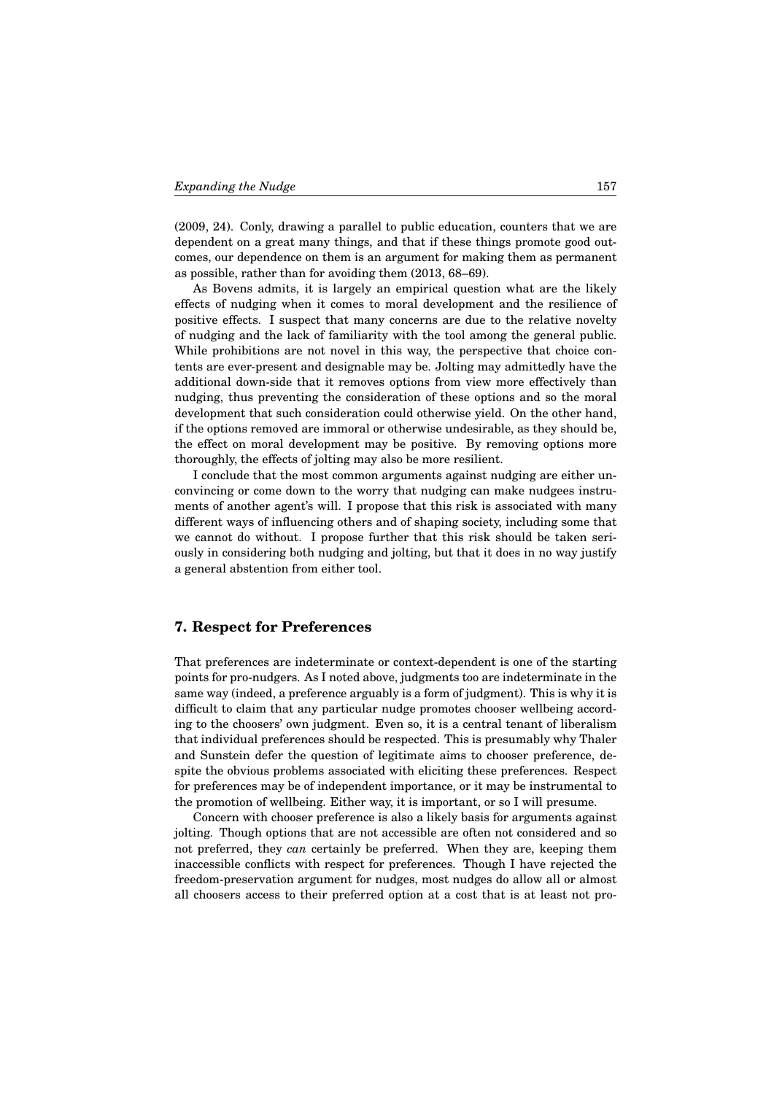(2009, 24). Conly, drawing a parallel to public education, counters that we are dependent on a great many things, and that if these things promote good outcomes, our dependence on them is an argument for making them as permanent as possible, rather than for avoiding them (2013, 68–69).

As Bovens admits, it is largely an empirical question what are the likely effects of nudging when it comes to moral development and the resilience of positive effects. I suspect that many concerns are due to the relative novelty of nudging and the lack of familiarity with the tool among the general public. While prohibitions are not novel in this way, the perspective that choice contents are ever-present and designable may be. Jolting may admittedly have the additional down-side that it removes options from view more effectively than nudging, thus preventing the consideration of these options and so the moral development that such consideration could otherwise yield. On the other hand, if the options removed are immoral or otherwise undesirable, as they should be, the effect on moral development may be positive. By removing options more thoroughly, the effects of jolting may also be more resilient.

I conclude that the most common arguments against nudging are either unconvincing or come down to the worry that nudging can make nudgees instruments of another agent's will. I propose that this risk is associated with many different ways of influencing others and of shaping society, including some that we cannot do without. I propose further that this risk should be taken seriously in considering both nudging and jolting, but that it does in no way justify a general abstention from either tool.

### **7. Respect for Preferences**

That preferences are indeterminate or context-dependent is one of the starting points for pro-nudgers. As I noted above, judgments too are indeterminate in the same way (indeed, a preference arguably is a form of judgment). This is why it is difficult to claim that any particular nudge promotes chooser wellbeing according to the choosers' own judgment. Even so, it is a central tenant of liberalism that individual preferences should be respected. This is presumably why Thaler and Sunstein defer the question of legitimate aims to chooser preference, despite the obvious problems associated with eliciting these preferences. Respect for preferences may be of independent importance, or it may be instrumental to the promotion of wellbeing. Either way, it is important, or so I will presume.

Concern with chooser preference is also a likely basis for arguments against jolting. Though options that are not accessible are often not considered and so not preferred, they *can* certainly be preferred. When they are, keeping them inaccessible conflicts with respect for preferences. Though I have rejected the freedom-preservation argument for nudges, most nudges do allow all or almost all choosers access to their preferred option at a cost that is at least not pro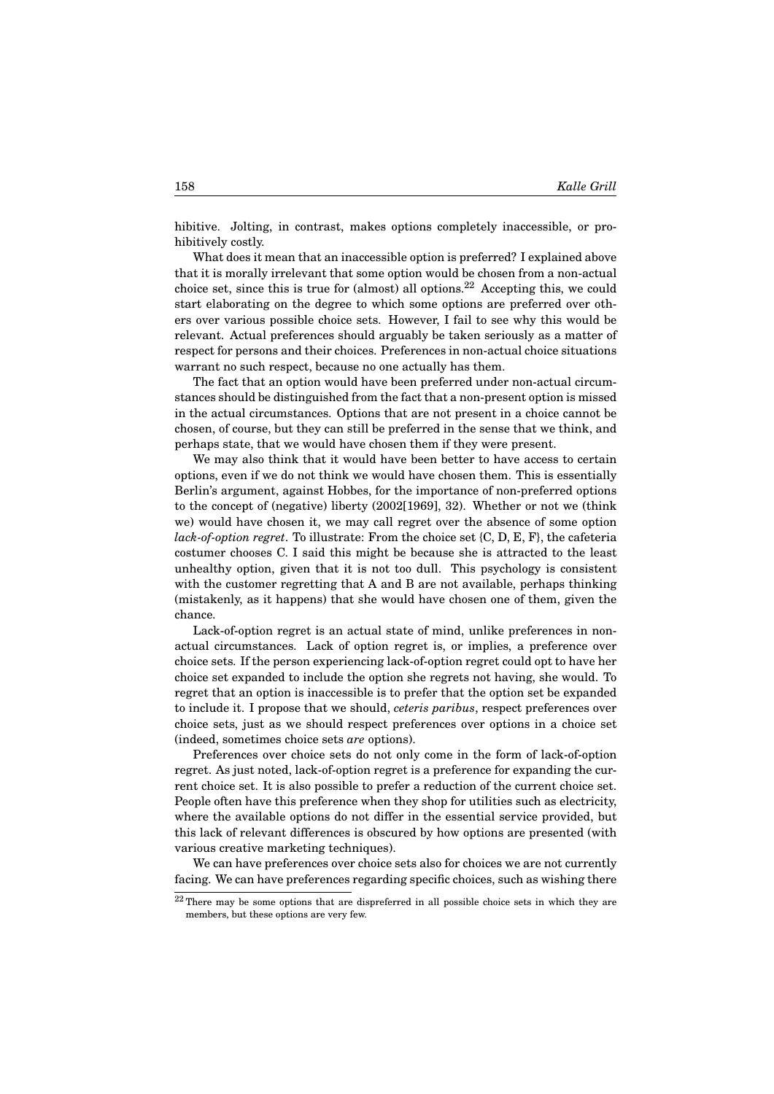hibitive. Jolting, in contrast, makes options completely inaccessible, or prohibitively costly.

What does it mean that an inaccessible option is preferred? I explained above that it is morally irrelevant that some option would be chosen from a non-actual choice set, since this is true for (almost) all options.<sup>22</sup> Accepting this, we could start elaborating on the degree to which some options are preferred over others over various possible choice sets. However, I fail to see why this would be relevant. Actual preferences should arguably be taken seriously as a matter of respect for persons and their choices. Preferences in non-actual choice situations warrant no such respect, because no one actually has them.

The fact that an option would have been preferred under non-actual circumstances should be distinguished from the fact that a non-present option is missed in the actual circumstances. Options that are not present in a choice cannot be chosen, of course, but they can still be preferred in the sense that we think, and perhaps state, that we would have chosen them if they were present.

We may also think that it would have been better to have access to certain options, even if we do not think we would have chosen them. This is essentially Berlin's argument, against Hobbes, for the importance of non-preferred options to the concept of (negative) liberty (2002[1969], 32). Whether or not we (think we) would have chosen it, we may call regret over the absence of some option *lack-of-option regret*. To illustrate: From the choice set {C, D, E, F}, the cafeteria costumer chooses C. I said this might be because she is attracted to the least unhealthy option, given that it is not too dull. This psychology is consistent with the customer regretting that A and B are not available, perhaps thinking (mistakenly, as it happens) that she would have chosen one of them, given the chance.

Lack-of-option regret is an actual state of mind, unlike preferences in nonactual circumstances. Lack of option regret is, or implies, a preference over choice sets. If the person experiencing lack-of-option regret could opt to have her choice set expanded to include the option she regrets not having, she would. To regret that an option is inaccessible is to prefer that the option set be expanded to include it. I propose that we should, *ceteris paribus*, respect preferences over choice sets, just as we should respect preferences over options in a choice set (indeed, sometimes choice sets *are* options).

Preferences over choice sets do not only come in the form of lack-of-option regret. As just noted, lack-of-option regret is a preference for expanding the current choice set. It is also possible to prefer a reduction of the current choice set. People often have this preference when they shop for utilities such as electricity, where the available options do not differ in the essential service provided, but this lack of relevant differences is obscured by how options are presented (with various creative marketing techniques).

We can have preferences over choice sets also for choices we are not currently facing. We can have preferences regarding specific choices, such as wishing there

 $22$  There may be some options that are dispreferred in all possible choice sets in which they are members, but these options are very few.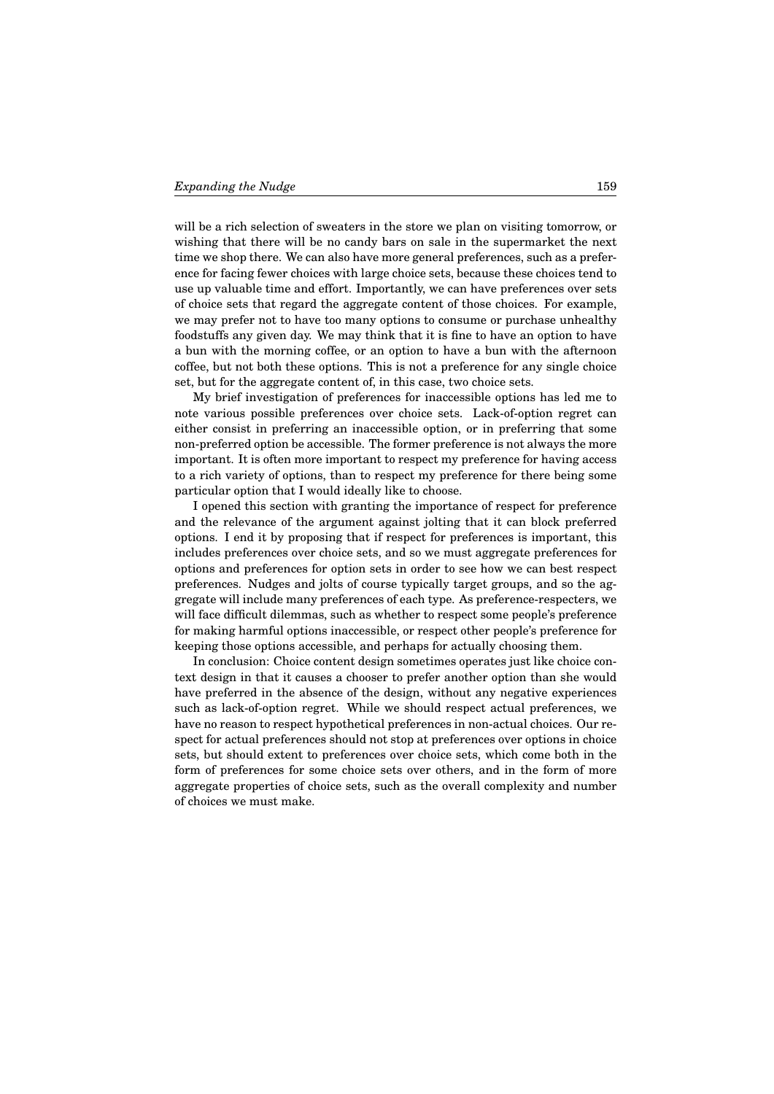will be a rich selection of sweaters in the store we plan on visiting tomorrow, or wishing that there will be no candy bars on sale in the supermarket the next time we shop there. We can also have more general preferences, such as a preference for facing fewer choices with large choice sets, because these choices tend to use up valuable time and effort. Importantly, we can have preferences over sets of choice sets that regard the aggregate content of those choices. For example, we may prefer not to have too many options to consume or purchase unhealthy foodstuffs any given day. We may think that it is fine to have an option to have a bun with the morning coffee, or an option to have a bun with the afternoon coffee, but not both these options. This is not a preference for any single choice set, but for the aggregate content of, in this case, two choice sets.

My brief investigation of preferences for inaccessible options has led me to note various possible preferences over choice sets. Lack-of-option regret can either consist in preferring an inaccessible option, or in preferring that some non-preferred option be accessible. The former preference is not always the more important. It is often more important to respect my preference for having access to a rich variety of options, than to respect my preference for there being some particular option that I would ideally like to choose.

I opened this section with granting the importance of respect for preference and the relevance of the argument against jolting that it can block preferred options. I end it by proposing that if respect for preferences is important, this includes preferences over choice sets, and so we must aggregate preferences for options and preferences for option sets in order to see how we can best respect preferences. Nudges and jolts of course typically target groups, and so the aggregate will include many preferences of each type. As preference-respecters, we will face difficult dilemmas, such as whether to respect some people's preference for making harmful options inaccessible, or respect other people's preference for keeping those options accessible, and perhaps for actually choosing them.

In conclusion: Choice content design sometimes operates just like choice context design in that it causes a chooser to prefer another option than she would have preferred in the absence of the design, without any negative experiences such as lack-of-option regret. While we should respect actual preferences, we have no reason to respect hypothetical preferences in non-actual choices. Our respect for actual preferences should not stop at preferences over options in choice sets, but should extent to preferences over choice sets, which come both in the form of preferences for some choice sets over others, and in the form of more aggregate properties of choice sets, such as the overall complexity and number of choices we must make.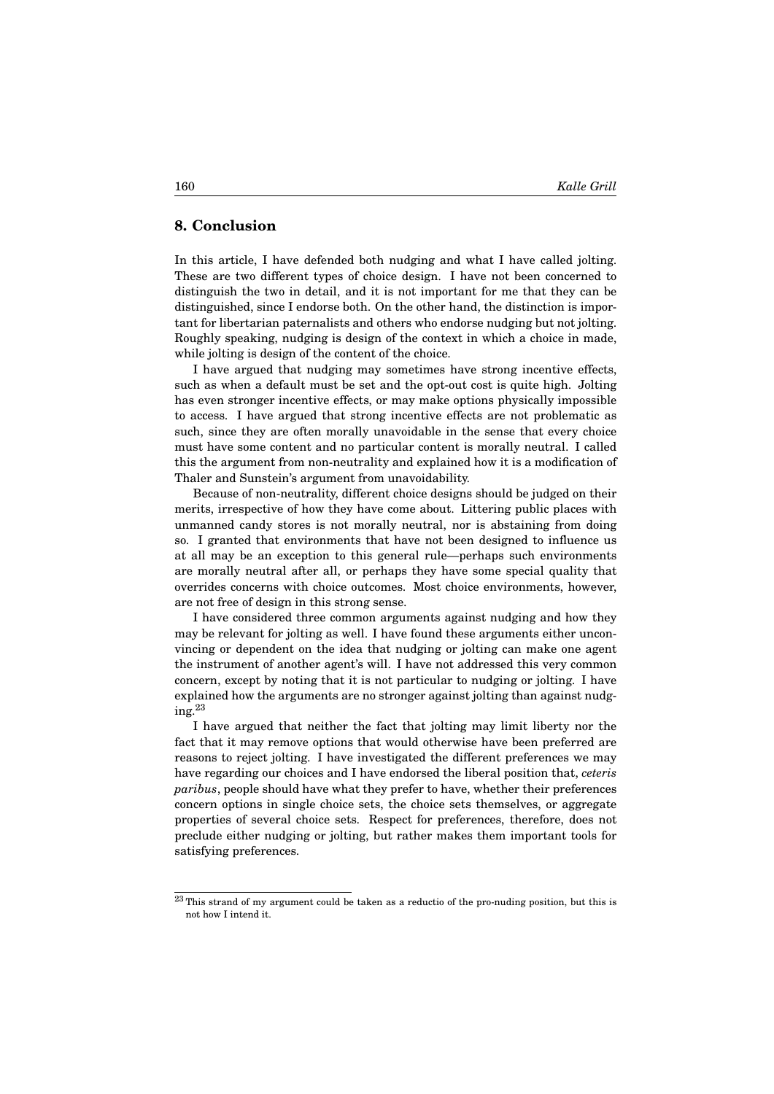### **8. Conclusion**

In this article, I have defended both nudging and what I have called jolting. These are two different types of choice design. I have not been concerned to distinguish the two in detail, and it is not important for me that they can be distinguished, since I endorse both. On the other hand, the distinction is important for libertarian paternalists and others who endorse nudging but not jolting. Roughly speaking, nudging is design of the context in which a choice in made, while jolting is design of the content of the choice.

I have argued that nudging may sometimes have strong incentive effects, such as when a default must be set and the opt-out cost is quite high. Jolting has even stronger incentive effects, or may make options physically impossible to access. I have argued that strong incentive effects are not problematic as such, since they are often morally unavoidable in the sense that every choice must have some content and no particular content is morally neutral. I called this the argument from non-neutrality and explained how it is a modification of Thaler and Sunstein's argument from unavoidability.

Because of non-neutrality, different choice designs should be judged on their merits, irrespective of how they have come about. Littering public places with unmanned candy stores is not morally neutral, nor is abstaining from doing so. I granted that environments that have not been designed to influence us at all may be an exception to this general rule—perhaps such environments are morally neutral after all, or perhaps they have some special quality that overrides concerns with choice outcomes. Most choice environments, however, are not free of design in this strong sense.

I have considered three common arguments against nudging and how they may be relevant for jolting as well. I have found these arguments either unconvincing or dependent on the idea that nudging or jolting can make one agent the instrument of another agent's will. I have not addressed this very common concern, except by noting that it is not particular to nudging or jolting. I have explained how the arguments are no stronger against jolting than against nudging.<sup>23</sup>

I have argued that neither the fact that jolting may limit liberty nor the fact that it may remove options that would otherwise have been preferred are reasons to reject jolting. I have investigated the different preferences we may have regarding our choices and I have endorsed the liberal position that, *ceteris paribus*, people should have what they prefer to have, whether their preferences concern options in single choice sets, the choice sets themselves, or aggregate properties of several choice sets. Respect for preferences, therefore, does not preclude either nudging or jolting, but rather makes them important tools for satisfying preferences.

 $^{23}$  This strand of my argument could be taken as a reductio of the pro-nuding position, but this is not how I intend it.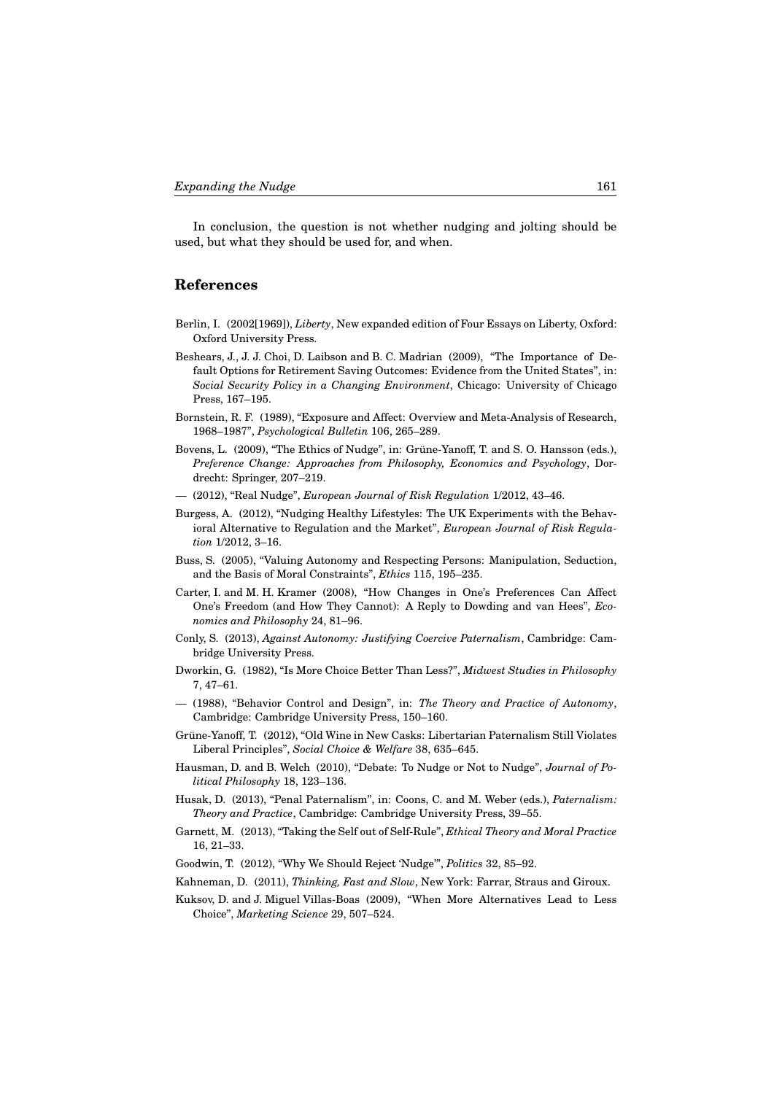In conclusion, the question is not whether nudging and jolting should be used, but what they should be used for, and when.

## **References**

- Berlin, I. (2002[1969]), *Liberty*, New expanded edition of Four Essays on Liberty, Oxford: Oxford University Press.
- Beshears, J., J. J. Choi, D. Laibson and B. C. Madrian (2009), "The Importance of Default Options for Retirement Saving Outcomes: Evidence from the United States", in: *Social Security Policy in a Changing Environment*, Chicago: University of Chicago Press, 167–195.
- Bornstein, R. F. (1989), "Exposure and Affect: Overview and Meta-Analysis of Research, 1968–1987", *Psychological Bulletin* 106, 265–289.
- Bovens, L. (2009), "The Ethics of Nudge", in: Grüne-Yanoff, T. and S. O. Hansson (eds.), *Preference Change: Approaches from Philosophy, Economics and Psychology*, Dordrecht: Springer, 207–219.
- (2012), "Real Nudge", *European Journal of Risk Regulation* 1/2012, 43–46.
- Burgess, A. (2012), "Nudging Healthy Lifestyles: The UK Experiments with the Behavioral Alternative to Regulation and the Market", *European Journal of Risk Regulation* 1/2012, 3–16.
- Buss, S. (2005), "Valuing Autonomy and Respecting Persons: Manipulation, Seduction, and the Basis of Moral Constraints", *Ethics* 115, 195–235.
- Carter, I. and M. H. Kramer (2008), "How Changes in One's Preferences Can Affect One's Freedom (and How They Cannot): A Reply to Dowding and van Hees", *Economics and Philosophy* 24, 81–96.
- Conly, S. (2013), *Against Autonomy: Justifying Coercive Paternalism*, Cambridge: Cambridge University Press.
- Dworkin, G. (1982), "Is More Choice Better Than Less?", *Midwest Studies in Philosophy* 7, 47–61.
- (1988), "Behavior Control and Design", in: *The Theory and Practice of Autonomy*, Cambridge: Cambridge University Press, 150–160.
- Grüne-Yanoff, T. (2012), "Old Wine in New Casks: Libertarian Paternalism Still Violates Liberal Principles", *Social Choice & Welfare* 38, 635–645.
- Hausman, D. and B. Welch (2010), "Debate: To Nudge or Not to Nudge", *Journal of Political Philosophy* 18, 123–136.
- Husak, D. (2013), "Penal Paternalism", in: Coons, C. and M. Weber (eds.), *Paternalism: Theory and Practice*, Cambridge: Cambridge University Press, 39–55.
- Garnett, M. (2013), "Taking the Self out of Self-Rule", *Ethical Theory and Moral Practice* 16, 21–33.
- Goodwin, T. (2012), "Why We Should Reject 'Nudge'", *Politics* 32, 85–92.
- Kahneman, D. (2011), *Thinking, Fast and Slow*, New York: Farrar, Straus and Giroux.
- Kuksov, D. and J. Miguel Villas-Boas (2009), "When More Alternatives Lead to Less Choice", *Marketing Science* 29, 507–524.